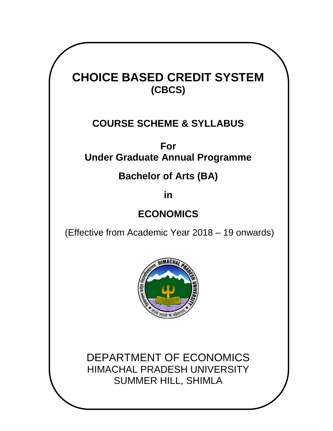# **CHOICE BASED CREDIT SYSTEM (CBCS)**

# **COURSE SCHEME & SYLLABUS**

**For Under Graduate Annual Programme**

# **Bachelor of Arts (BA)**

**in** 

# **ECONOMICS**

(Effective from Academic Year 2018 – 19 onwards)



DEPARTMENT OF ECONOMICS HIMACHAL PRADESH UNIVERSITY SUMMER HILL, SHIMLA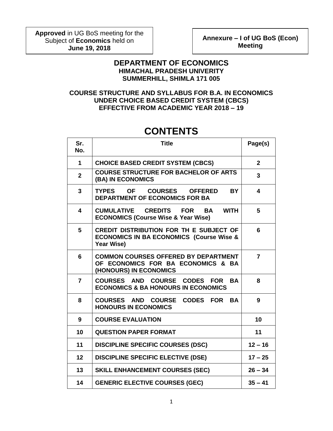**Approved** in UG BoS meeting for the Subject of **Economics** held on **June 19, 2018**

**Annexure – I of UG BoS (Econ) Meeting**

### **DEPARTMENT OF ECONOMICS HIMACHAL PRADESH UNIVERITY SUMMERHILL, SHIMLA 171 005**

**COURSE STRUCTURE AND SYLLABUS FOR B.A. IN ECONOMICS UNDER CHOICE BASED CREDIT SYSTEM (CBCS) EFFECTIVE FROM ACADEMIC YEAR 2018 – 19**

# **CONTENTS**

| Sr.<br>No.     | <b>Title</b>                                                                                                 | Page(s)        |
|----------------|--------------------------------------------------------------------------------------------------------------|----------------|
| 1              | <b>CHOICE BASED CREDIT SYSTEM (CBCS)</b>                                                                     | $\overline{2}$ |
| $\overline{2}$ | <b>COURSE STRUCTURE FOR BACHELOR OF ARTS</b><br>(BA) IN ECONOMICS                                            | 3              |
| 3              | TYPES OF COURSES OFFERED<br><b>BY</b><br><b>DEPARTMENT OF ECONOMICS FOR BA</b>                               | 4              |
| 4              | <b>CUMULATIVE CREDITS FOR</b><br><b>BA</b><br><b>WITH</b><br><b>ECONOMICS (Course Wise &amp; Year Wise)</b>  | 5              |
| 5              | CREDIT DISTRIBUTION FOR TH E SUBJECT OF<br><b>ECONOMICS IN BA ECONOMICS (Course Wise &amp;</b><br>Year Wise) | 6              |
| 6              | <b>COMMON COURSES OFFERED BY DEPARTMENT</b><br>OF ECONOMICS FOR BA ECONOMICS & BA<br>(HONOURS) IN ECONOMICS  | $\overline{7}$ |
| $\overline{7}$ | COURSES AND COURSE CODES FOR<br><b>BA</b><br><b>ECONOMICS &amp; BA HONOURS IN ECONOMICS</b>                  | 8              |
| 8              | <b>CODES FOR</b><br><b>COURSES AND</b><br><b>COURSE</b><br><b>BA</b><br><b>HONOURS IN ECONOMICS</b>          | 9              |
| 9              | <b>COURSE EVALUATION</b>                                                                                     | 10             |
| 10             | <b>QUESTION PAPER FORMAT</b>                                                                                 | 11             |
| 11             | <b>DISCIPLINE SPECIFIC COURSES (DSC)</b>                                                                     | $12 - 16$      |
| 12             | <b>DISCIPLINE SPECIFIC ELECTIVE (DSE)</b>                                                                    | $17 - 25$      |
| 13             | <b>SKILL ENHANCEMENT COURSES (SEC)</b>                                                                       | $26 - 34$      |
| 14             | <b>GENERIC ELECTIVE COURSES (GEC)</b>                                                                        | $35 - 41$      |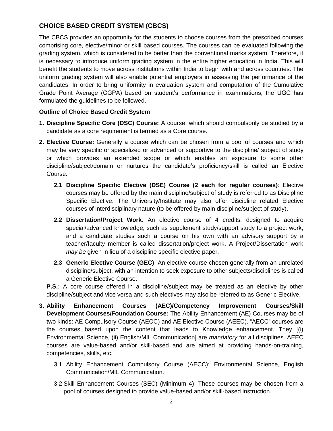# **CHOICE BASED CREDIT SYSTEM (CBCS)**

The CBCS provides an opportunity for the students to choose courses from the prescribed courses comprising core, elective/minor or skill based courses. The courses can be evaluated following the grading system, which is considered to be better than the conventional marks system. Therefore, it is necessary to introduce uniform grading system in the entire higher education in India. This will benefit the students to move across institutions within India to begin with and across countries. The uniform grading system will also enable potential employers in assessing the performance of the candidates. In order to bring uniformity in evaluation system and computation of the Cumulative Grade Point Average (CGPA) based on student"s performance in examinations, the UGC has formulated the guidelines to be followed.

#### **Outline of Choice Based Credit System**

- **1. Discipline Specific Core (DSC) Course:** A course, which should compulsorily be studied by a candidate as a core requirement is termed as a Core course.
- **2. Elective Course:** Generally a course which can be chosen from a pool of courses and which may be very specific or specialized or advanced or supportive to the discipline/ subject of study or which provides an extended scope or which enables an exposure to some other discipline/subject/domain or nurtures the candidate"s proficiency/skill is called an Elective Course.
	- **2.1 Discipline Specific Elective (DSE) Course (2 each for regular courses)**: Elective courses may be offered by the main discipline/subject of study is referred to as Discipline Specific Elective. The University/Institute may also offer discipline related Elective courses of interdisciplinary nature (to be offered by main discipline/subject of study).
	- **2.2 Dissertation/Project Work**: An elective course of 4 credits, designed to acquire special/advanced knowledge, such as supplement study/support study to a project work, and a candidate studies such a course on his own with an advisory support by a teacher/faculty member is called dissertation/project work. A Project/Dissertation work *may be* given in lieu of a discipline specific elective paper.
	- **2.3 Generic Elective Course (GEC)**: An elective course chosen generally from an unrelated discipline/subject, with an intention to seek exposure to other subjects/disciplines is called a Generic Elective Course.

**P.S.:** A core course offered in a discipline/subject may be treated as an elective by other discipline/subject and vice versa and such electives may also be referred to as Generic Elective.

- **3. Ability Enhancement Courses (AEC)/Competency Improvement Courses/Skill Development Courses/Foundation Course:** The Ability Enhancement (AE) Courses may be of two kinds: AE Compulsory Course (AECC) and AE Elective Course (AEEC). "AECC" courses are the courses based upon the content that leads to Knowledge enhancement. They [(i) Environmental Science, (ii) English/MIL Communication] are *mandatory* for all disciplines. AEEC courses are value-based and/or skill-based and are aimed at providing hands-on-training, competencies, skills, etc.
	- 3.1 Ability Enhancement Compulsory Course (AECC): Environmental Science, English Communication/MIL Communication.
	- 3.2 Skill Enhancement Courses (SEC) (Minimum 4): These courses may be chosen from a pool of courses designed to provide value-based and/or skill-based instruction.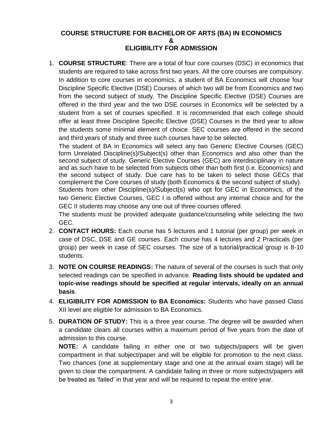### **COURSE STRUCTURE FOR BACHELOR OF ARTS (BA) IN ECONOMICS & ELIGIBILITY FOR ADMISSION**

1. **COURSE STRUCTURE**: There are a total of four core courses (DSC) in economics that students are required to take across first two years. All the core courses are compulsory. In addition to core courses in economics, a student of BA Economics will choose four Discipline Specific Elective (DSE) Courses of which two will be from Economics and two from the second subject of study. The Discipline Specific Elective (DSE) Courses are offered in the third year and the two DSE courses in Economics will be selected by a student from a set of courses specified. It is recommended that each college should offer at least three Discipline Specific Elective (DSE) Courses in the third year to allow the students some minimal element of choice. SEC courses are offered in the second and third years of study and three such courses have to be selected.

The student of BA in Economics will select any two Generic Elective Courses (GEC) form Unrelated Discipline(s)/Subject(s) other than Economics and also other than the second subject of study. Generic Elective Courses (GEC) are interdisciplinary in nature and as such have to be selected from subjects other than both first (i.e. Economics) and the second subject of study. Due care has to be taken to select those GECs that complement the Core courses of study (both Economics & the second subject of study).

Students from other Discipline(s)/Subject(s) who opt for GEC in Economics, of the two Generic Elective Courses, GEC I is offered without any internal choice and for the GEC II students may choose any one out of three courses offered.

The students must be provided adequate guidance/counseling while selecting the two GEC.

- 2. **CONTACT HOURS:** Each course has 5 lectures and 1 tutorial (per group) per week in case of DSC, DSE and GE courses. Each course has 4 lectures and 2 Practicals (per group) per week in case of SEC courses. The size of a tutorial/practical group is 8-10 students.
- 3. **NOTE ON COURSE READINGS:** The nature of several of the courses is such that only selected readings can be specified in advance. **Reading lists should be updated and topic-wise readings should be specified at regular intervals, ideally on an annual basis**.
- 4. **ELIGIBILITY FOR ADMISSION to BA Economics:** Students who have passed Class XII level are eligible for admission to BA Economics.
- 5. **DURATION OF STUDY:** This is a three year course. The degree will be awarded when a candidate clears all courses within a maximum period of five years from the date of admission to this course.

**NOTE:** A candidate failing in either one or two subjects/papers will be given compartment in that subject/paper and will be eligible for promotion to the next class. Two chances (one at supplementary stage and one at the annual exam stage) will be given to clear the compartment. A candidate failing in three or more subjects/papers will be treated as "failed" in that year and will be required to repeat the entire year.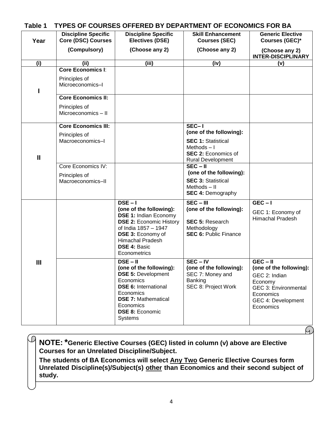| Table 1      | TYPES OF COURSES OFFERED BY DEPARTMENT OF ECONOMICS FOR BA                                                                         |                                                                                                                                                                                                                              |                                                                                                                                                                                                                                                           |                                                                                                                                    |
|--------------|------------------------------------------------------------------------------------------------------------------------------------|------------------------------------------------------------------------------------------------------------------------------------------------------------------------------------------------------------------------------|-----------------------------------------------------------------------------------------------------------------------------------------------------------------------------------------------------------------------------------------------------------|------------------------------------------------------------------------------------------------------------------------------------|
| Year         | <b>Discipline Specific</b><br><b>Core (DSC) Courses</b>                                                                            | <b>Discipline Specific</b><br><b>Electives (DSE)</b>                                                                                                                                                                         | <b>Skill Enhancement</b><br><b>Courses (SEC)</b>                                                                                                                                                                                                          | <b>Generic Elective</b><br>Courses (GEC)*                                                                                          |
|              | (Compulsory)                                                                                                                       | (Choose any 2)                                                                                                                                                                                                               | (Choose any 2)                                                                                                                                                                                                                                            | (Choose any 2)<br><b>INTER-DISCIPLINARY</b>                                                                                        |
| (i)          | (iii)                                                                                                                              | (iii)                                                                                                                                                                                                                        | (iv)                                                                                                                                                                                                                                                      | (v)                                                                                                                                |
|              | <b>Core Economics I:</b><br>Principles of<br>Microeconomics-I<br><b>Core Economics II:</b><br>Principles of<br>Microeconomics - II |                                                                                                                                                                                                                              |                                                                                                                                                                                                                                                           |                                                                                                                                    |
| $\mathbf{I}$ | <b>Core Economics III:</b><br>Principles of<br>Macroeconomics-I<br>Core Economics IV:<br>Principles of<br>Macroeconomics-II        |                                                                                                                                                                                                                              | $SEC-I$<br>(one of the following):<br><b>SEC 1: Statistical</b><br>Methods $-1$<br><b>SEC 2: Economics of</b><br><b>Rural Development</b><br>$SEC - II$<br>(one of the following):<br><b>SEC 3: Statistical</b><br>Methods-II<br><b>SEC 4: Demography</b> |                                                                                                                                    |
| Ш            |                                                                                                                                    | $DSE - I$<br>(one of the following):<br><b>DSE 1: Indian Economy</b><br><b>DSE 2: Economic History</b><br>of India 1857 - 1947<br>DSE 3: Economy of<br>Himachal Pradesh<br><b>DSE 4: Basic</b><br>Econometrics<br>$DSE - II$ | $SEC - III$<br>(one of the following):<br><b>SEC 5: Research</b><br>Methodology<br><b>SEC 6: Public Finance</b><br>$SEC - IV$                                                                                                                             | $GEC - I$<br>GEC 1: Economy of<br><b>Himachal Pradesh</b><br>$GEC - II$                                                            |
|              |                                                                                                                                    | (one of the following):<br><b>DSE 5: Development</b><br>Economics<br><b>DSE 6: International</b><br>Economics<br><b>DSE 7: Mathematical</b><br>Economics<br><b>DSE 8: Economic</b><br><b>Systems</b>                         | (one of the following):<br>SEC 7: Money and<br>Banking<br>SEC 8: Project Work                                                                                                                                                                             | (one of the following):<br>GEC 2: Indian<br>Economy<br><b>GEC 3: Environmental</b><br>Economics<br>GEC 4: Development<br>Economics |

Ч)

**NOTE:\*Generic Elective Courses (GEC) listed in column (v) above are Elective Courses for an Unrelated Discipline/Subject.**

 $\mathcal{D}% _{A}=\mathcal{L}_{A}\!\left( A\right) ,\mathcal{L}_{A}\!\left( A\right) ,$ 

**The students of BA Economics will select Any Two Generic Elective Courses form Unrelated Discipline(s)/Subject(s) other than Economics and their second subject of study.**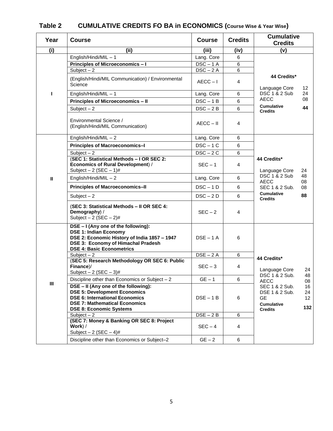| Year           | <b>Course</b>                                                                                                                                                                                  | <b>Course</b> | <b>Credits</b> | <b>Cumulative</b><br><b>Credits</b>                                                                                   |                                    |
|----------------|------------------------------------------------------------------------------------------------------------------------------------------------------------------------------------------------|---------------|----------------|-----------------------------------------------------------------------------------------------------------------------|------------------------------------|
| (i)            | (ii)                                                                                                                                                                                           | (iii)         | (iv)           | (v)                                                                                                                   |                                    |
|                | English/Hindi/MIL-1                                                                                                                                                                            | Lang. Core    | 6              |                                                                                                                       |                                    |
|                | Principles of Microeconomics-I                                                                                                                                                                 | $DSC - 1$ A   | 6              |                                                                                                                       |                                    |
|                | Subject $-2$                                                                                                                                                                                   | $DSC - 2A$    | 6              |                                                                                                                       |                                    |
|                | (English/Hindi/MIL Communication) / Environmental<br>Science                                                                                                                                   | $AECC - I$    | 4              | 44 Credits*<br>Language Core                                                                                          | 12                                 |
| Т              | English/Hindi/MIL-1                                                                                                                                                                            | Lang. Core    | 6              | DSC 1 & 2 Sub                                                                                                         | 24                                 |
|                | <b>Principles of Microeconomics - II</b>                                                                                                                                                       | $DSC - 1B$    | 6              | <b>AECC</b>                                                                                                           | 08                                 |
|                | Subject $-2$                                                                                                                                                                                   | $DSC - 2B$    | 6              | <b>Cumulative</b><br><b>Credits</b>                                                                                   | 44                                 |
|                | Environmental Science /<br>(English/Hindi/MIL Communication)                                                                                                                                   | $AECC - II$   | 4              |                                                                                                                       |                                    |
|                | English/Hindi/MIL $-2$                                                                                                                                                                         | Lang. Core    | 6              |                                                                                                                       |                                    |
|                | Principles of Macroeconomics-I                                                                                                                                                                 | $DSC - 1C$    | 6              |                                                                                                                       |                                    |
|                | Subject $-2$                                                                                                                                                                                   | $DSC - 2C$    | 6              |                                                                                                                       |                                    |
|                | (SEC 1: Statistical Methods - I OR SEC 2:<br>Economics of Rural Development) /<br>Subject $-2$ (SEC $-1$ )#                                                                                    | $SEC - 1$     | 4              | 44 Credits*<br>Language Core<br>DSC 1 & 2 Sub<br><b>AECC</b><br>SEC 1 & 2 Sub.<br><b>Cumulative</b><br><b>Credits</b> | 24                                 |
| $\mathbf{I}$   | English/Hindi/MIL $-2$                                                                                                                                                                         | Lang. Core    | 6              |                                                                                                                       | 48                                 |
|                | <b>Principles of Macroeconomics-II</b>                                                                                                                                                         | $DSC - 1D$    | 6              |                                                                                                                       | 08<br>08                           |
|                | Subject $-2$                                                                                                                                                                                   | $DSC - 2D$    | 6              |                                                                                                                       | 88                                 |
|                | (SEC 3: Statistical Methods - II OR SEC 4:<br>Demography) /<br>Subject $-2$ (SEC $-2$ )#                                                                                                       | $SEC - 2$     | 4              |                                                                                                                       |                                    |
|                | DSE - I (Any one of the following):<br><b>DSE 1: Indian Economy</b><br>DSE 2: Economic History of India 1857 - 1947<br>DSE 3: Economy of Himachal Pradesh<br><b>DSE 4: Basic Econometrics</b>  | $DSE - 1$ A   | 6              |                                                                                                                       |                                    |
|                | Subject $-2$                                                                                                                                                                                   | $DSE - 2A$    | 6              | 44 Credits*                                                                                                           |                                    |
|                | (SEC 5: Research Methodology OR SEC 6: Public<br>Finance)/<br>Subject $-2$ (SEC $-3$ )#                                                                                                        | $SEC - 3$     | 4              | Language Core                                                                                                         | 24                                 |
|                | Discipline other than Economics or Subject $-2$                                                                                                                                                | $GE - 1$      | 6              | DSC 1 & 2 Sub.<br><b>AECC</b>                                                                                         | 48<br>08                           |
| $\mathbf{III}$ | DSE - II (Any one of the following):<br><b>DSE 5: Development Economics</b><br><b>DSE 6: International Economics</b><br><b>DSE 7: Mathematical Economics</b><br><b>DSE 8: Economic Systems</b> | $DSE - 1B$    | 6              | SEC 1 & 2 Sub.<br>DSE 1 & 2 Sub.<br><b>GE</b><br><b>Cumulative</b><br><b>Credits</b>                                  | 16<br>24<br>12 <sup>°</sup><br>132 |
|                | Subject $-2$                                                                                                                                                                                   | $DSE - 2B$    | 6              |                                                                                                                       |                                    |
|                | (SEC 7: Money & Banking OR SEC 8: Project<br>Work) /<br>Subject $-2$ (SEC $-4$ )#                                                                                                              | $SEC - 4$     | 4              |                                                                                                                       |                                    |
|                | Discipline other than Economics or Subject-2                                                                                                                                                   | $GE - 2$      | 6              |                                                                                                                       |                                    |

# **Table 2 CUMULATIVE CREDITS FO BA in ECONOMICS (Course Wise & Year Wise)**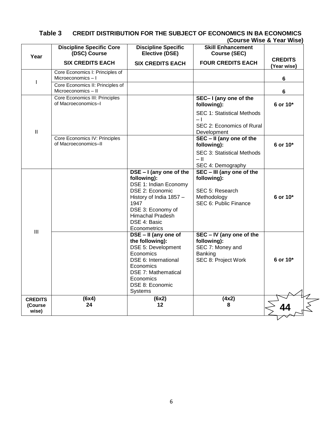|                                    |                                                         |                                                                                                                                                                                                       |                                                                                                     | (Course wise & Year wise)     |
|------------------------------------|---------------------------------------------------------|-------------------------------------------------------------------------------------------------------------------------------------------------------------------------------------------------------|-----------------------------------------------------------------------------------------------------|-------------------------------|
| Year                               | <b>Discipline Specific Core</b><br>(DSC) Course         | <b>Discipline Specific</b><br><b>Elective (DSE)</b>                                                                                                                                                   | <b>Skill Enhancement</b><br><b>Course (SEC)</b>                                                     |                               |
|                                    | <b>SIX CREDITS EACH</b>                                 | <b>SIX CREDITS EACH</b>                                                                                                                                                                               | <b>FOUR CREDITS EACH</b>                                                                            | <b>CREDITS</b><br>(Year wise) |
| I                                  | Core Economics I: Principles of<br>Microeconomics-I     |                                                                                                                                                                                                       |                                                                                                     | 6                             |
|                                    | Core Economics II: Principles of<br>Microeconomics - II |                                                                                                                                                                                                       |                                                                                                     | 6                             |
|                                    | Core Economics III: Principles<br>of Macroeconomics-I   |                                                                                                                                                                                                       | SEC-I (any one of the<br>following):                                                                | 6 or 10*                      |
|                                    |                                                         |                                                                                                                                                                                                       | SEC 1: Statistical Methods<br>$-1$                                                                  |                               |
| $\mathbf{I}$                       |                                                         |                                                                                                                                                                                                       | SEC 2: Economics of Rural<br>Development                                                            |                               |
|                                    | Core Economics IV: Principles<br>of Macroeconomics-II   |                                                                                                                                                                                                       | SEC - II (any one of the<br>following):                                                             | 6 or 10*                      |
|                                    |                                                         |                                                                                                                                                                                                       | SEC 3: Statistical Methods<br>$-$ II<br>SEC 4: Demography                                           |                               |
| III                                |                                                         | DSE - I (any one of the<br>following):<br>DSE 1: Indian Economy<br>DSE 2: Economic<br>History of India 1857 -<br>1947<br>DSE 3: Economy of<br><b>Himachal Pradesh</b><br>DSE 4: Basic<br>Econometrics | SEC - III (any one of the<br>following):<br>SEC 5: Research<br>Methodology<br>SEC 6: Public Finance | 6 or 10*                      |
|                                    |                                                         | DSE - II (any one of<br>the following):<br>DSE 5: Development<br>Economics<br>DSE 6: International<br>Economics<br><b>DSE 7: Mathematical</b><br>Economics<br>DSE 8: Economic<br><b>Systems</b>       | SEC - IV (any one of the<br>following):<br>SEC 7: Money and<br>Banking<br>SEC 8: Project Work       | 6 or 10*                      |
| <b>CREDITS</b><br>(Course<br>wise) | (6x4)<br>24                                             | (6x2)<br>12                                                                                                                                                                                           | (4x2)<br>8                                                                                          |                               |

#### **Table 3 CREDIT DISTRIBUTION FOR THE SUBJECT OF ECONOMICS IN BA ECONOMICS (Course Wise & Year Wise)**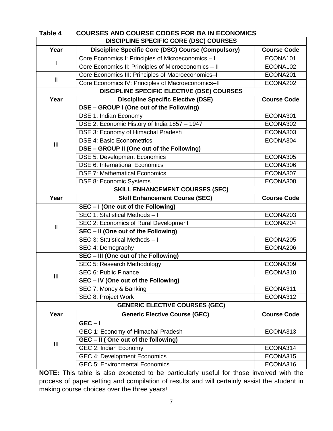| Table 4        | <b>COURSES AND COURSE CODES FOR BA IN ECONOMICS</b>       |                    |
|----------------|-----------------------------------------------------------|--------------------|
|                | <b>DISCIPLINE SPECIFIC CORE (DSC) COURSES</b>             |                    |
| Year           | <b>Discipline Specific Core (DSC) Course (Compulsory)</b> | <b>Course Code</b> |
|                | Core Economics I: Principles of Microeconomics - I        | ECONA101           |
|                | Core Economics II: Principles of Microeconomics - II      | ECONA102           |
|                | Core Economics III: Principles of Macroeconomics-I        | ECONA201           |
| $\mathbf{H}$   | Core Economics IV: Principles of Macroeconomics-II        | ECONA202           |
|                | <b>DISCIPLINE SPECIFIC ELECTIVE (DSE) COURSES</b>         |                    |
| Year           | <b>Discipline Specific Elective (DSE)</b>                 | <b>Course Code</b> |
|                | DSE - GROUP I (One out of the Following)                  |                    |
|                | DSE 1: Indian Economy                                     | ECONA301           |
|                | DSE 2: Economic History of India 1857 - 1947              | ECONA302           |
|                | DSE 3: Economy of Himachal Pradesh                        | ECONA303           |
| $\mathbf{III}$ | <b>DSE 4: Basic Econometrics</b>                          | ECONA304           |
|                | DSE - GROUP II (One out of the Following)                 |                    |
|                | <b>DSE 5: Development Economics</b>                       | ECONA305           |
|                | <b>DSE 6: International Economics</b>                     | ECONA306           |
|                | <b>DSE 7: Mathematical Economics</b>                      | ECONA307           |
|                | <b>DSE 8: Economic Systems</b>                            | ECONA308           |
|                | <b>SKILL ENHANCEMENT COURSES (SEC)</b>                    |                    |
| Year           | <b>Skill Enhancement Course (SEC)</b>                     | <b>Course Code</b> |
|                | SEC - I (One out of the Following)                        |                    |
|                | SEC 1: Statistical Methods - I                            | ECONA203           |
| $\mathbf{I}$   | SEC 2: Economics of Rural Development                     | ECONA204           |
|                | SEC - II (One out of the Following)                       |                    |
|                | SEC 3: Statistical Methods - II                           | ECONA205           |
|                | SEC 4: Demography                                         | ECONA206           |
|                | SEC - III (One out of the Following)                      |                    |
|                | SEC 5: Research Methodology                               | ECONA309           |
|                | SEC 6: Public Finance                                     | ECONA310           |
| Ш              | SEC - IV (One out of the Following)                       |                    |
|                | SEC 7: Money & Banking                                    | ECONA311           |
|                | SEC 8: Project Work                                       | ECONA312           |
|                | <b>GENERIC ELECTIVE COURSES (GEC)</b>                     |                    |
| Year           | <b>Generic Elective Course (GEC)</b>                      | <b>Course Code</b> |
|                | $GEC-I$                                                   |                    |
|                | GEC 1: Economy of Himachal Pradesh                        | ECONA313           |
|                | GEC - II (One out of the following)                       |                    |
| Ш              | GEC 2: Indian Economy                                     | ECONA314           |
|                | <b>GEC 4: Development Economics</b>                       | ECONA315           |
|                | <b>GEC 5: Environmental Economics</b>                     | ECONA316           |

**NOTE:** This table is also expected to be particularly useful for those involved with the process of paper setting and compilation of results and will certainly assist the student in making course choices over the three years!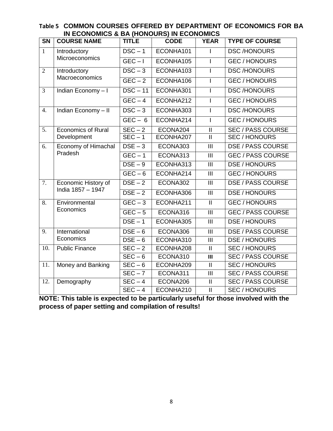| $\overline{\text{SN}}$ | <b>IN LUUNUMIUS &amp; DA (HUNUUNS) IN LUUNUMIUS</b><br><b>COURSE NAME</b> | <b>TITLE</b>                | <b>CODE</b> | <b>YEAR</b>                | <b>TYPE OF COURSE</b>    |
|------------------------|---------------------------------------------------------------------------|-----------------------------|-------------|----------------------------|--------------------------|
| $\overline{1}$         | <b>Introductory</b>                                                       | $DSC - 1$                   | ECONHA101   |                            | <b>DSC/HONOURS</b>       |
|                        | <b>Microeconomics</b>                                                     | $GEC - I$                   | ECONHA105   |                            | <b>GEC/HONOURS</b>       |
| $\overline{2}$         | Introductory                                                              | $DSC-3$                     | ECONHA103   |                            | <b>DSC/HONOURS</b>       |
|                        | Macroeconomics                                                            | $GEC - 2$                   | ECONHA106   |                            | <b>GEC/HONOURS</b>       |
| 3                      | Indian Economy-I                                                          | $DSC - 11$                  | ECONHA301   | L                          | <b>DSC/HONOURS</b>       |
|                        |                                                                           | $GEC - 4$                   | ECONHA212   |                            | <b>GEC/HONOURS</b>       |
| $\overline{4}$ .       | Indian Economy - II                                                       | $DSC-3$                     | ECONHA303   | $\mathbf{I}$               | <b>DSC/HONOURS</b>       |
|                        |                                                                           | $GEC - 6$                   | ECONHA214   | $\overline{1}$             | <b>GEC/HONOURS</b>       |
| $\overline{5}$ .       | <b>Economics of Rural</b>                                                 | $SEC - 2$                   | ECONA204    | $\mathop{\rm II}\nolimits$ | <b>SEC / PASS COURSE</b> |
|                        | Development                                                               | $SEC - 1$                   | ECONHA207   | $\mathbf{I}$               | <b>SEC/HONOURS</b>       |
| 6.                     | <b>Economy of Himachal</b><br>Pradesh                                     | $DSE - 3$                   | ECONA303    | $\mathbf{III}$             | <b>DSE / PASS COURSE</b> |
|                        |                                                                           | $GEC - 1$                   | ECONA313    | III                        | <b>GEC / PASS COURSE</b> |
|                        |                                                                           | $DSE - 9$                   | ECONHA313   | $\mathbf{III}$             | DSE / HONOURS            |
|                        |                                                                           | $GEC - 6$                   | ECONHA214   | III                        | <b>GEC/HONOURS</b>       |
| $\overline{7}$ .       | Economic History of                                                       | $DSE - 2$                   | ECONA302    | $\overline{\mathbb{H}}$    | <b>DSE / PASS COURSE</b> |
|                        | India 1857 - 1947                                                         | $DSE - 2$                   | ECONHA306   | III                        | DSE / HONOURS            |
| 8.                     | Environmental                                                             | $GEC-3$                     | ECONHA211   | $\mathbf{II}$              | <b>GEC/HONOURS</b>       |
|                        | Economics                                                                 | $\overline{GEC} - 5$        | ECONA316    | III                        | <b>GEC / PASS COURSE</b> |
|                        |                                                                           | $DSE - 1$                   | ECONHA305   | III                        | <b>DSE / HONOURS</b>     |
| 9.                     | International                                                             | $DSE - 6$                   | ECONA306    | III                        | <b>DSE / PASS COURSE</b> |
|                        | Economics                                                                 | $DSE - 6$                   | ECONHA310   | $\mathbf{III}$             | DSE / HONOURS            |
| 10.                    | <b>Public Finance</b>                                                     | $\overline{\text{SEC}} - 2$ | ECONHA208   | $\mathbf{II}$              | <b>SEC/HONOURS</b>       |
|                        |                                                                           | $SEC - 6$                   | ECONA310    | $\mathbf{III}$             | <b>SEC / PASS COURSE</b> |
| 11.                    | Money and Banking                                                         | $\overline{\text{SEC}} - 6$ | ECONHA209   | $\mathbf{I}$               | <b>SEC/HONOURS</b>       |
|                        |                                                                           | $SEC - 7$                   | ECONA311    | III                        | <b>SEC / PASS COURSE</b> |
| 12.                    | Demography                                                                | $SEC - 4$                   | ECONA206    | $\mathbf{I}$               | <b>SEC / PASS COURSE</b> |
|                        |                                                                           | $SEC - 4$                   | ECONHA210   | $\ensuremath{\mathsf{II}}$ | <b>SEC/HONOURS</b>       |

| Table 5 COMMON COURSES OFFERED BY DEPARTMENT OF ECONOMICS FOR BA |  |  |
|------------------------------------------------------------------|--|--|
| IN ECONOMICS & BA (HONOURS) IN ECONOMICS                         |  |  |

**NOTE: This table is expected to be particularly useful for those involved with the process of paper setting and compilation of results!**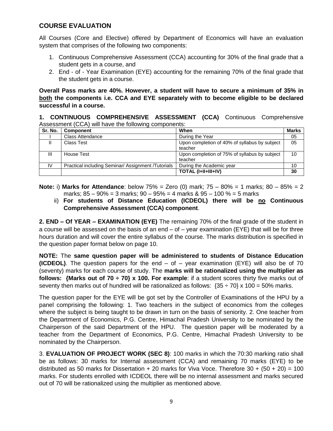## **COURSE EVALUATION**

All Courses (Core and Elective) offered by Department of Economics will have an evaluation system that comprises of the following two components:

- 1. Continuous Comprehensive Assessment (CCA) accounting for 30% of the final grade that a student gets in a course, and
- 2. End of Year Examination (EYE) accounting for the remaining 70% of the final grade that the student gets in a course.

**Overall Pass marks are 40%. However, a student will have to secure a minimum of 35% in both the components i.e. CCA and EYE separately with to become eligible to be declared successful in a course.** 

**1. CONTINUOUS COMPREHENSIVE ASSESSMENT (CCA)** Continuous Comprehensive Assessment (CCA) will have the following components:

| Sr. No. | Component                                         | When                                          | <b>Marks</b> |
|---------|---------------------------------------------------|-----------------------------------------------|--------------|
|         | <b>Class Attendance</b>                           | During the Year                               | 05           |
|         | Class Test                                        | Upon completion of 40% of syllabus by subject | 05           |
|         |                                                   | teacher                                       |              |
| Ш       | House Test                                        | Upon completion of 75% of syllabus by subject | 10           |
|         |                                                   | teacher                                       |              |
| IV      | Practical including Seminar/Assignment /Tutorials | During the Academic year                      | 10           |
|         |                                                   | TOTAL (I+II+III+IV)                           | 30           |

- **Note:** i) **Marks for Attendance**: below 75% = Zero (0) mark; 75 80% = 1 marks; 80 85% = 2 marks;  $85 - 90\% = 3$  marks;  $90 - 95\% = 4$  marks &  $95 - 100\% = 5$  marks
	- ii) **For students of Distance Education (ICDEOL) there will be no Continuous Comprehensive Assessment (CCA) component**.

**2. END – Of YEAR – EXAMINATION (EYE)** The remaining 70% of the final grade of the student in a course will be assessed on the basis of an end  $-$  of  $-$  year examination (EYE) that will be for three hours duration and will cover the entire syllabus of the course. The marks distribution is specified in the question paper format below on page 10.

**NOTE:** The **same question paper will be administered to students of Distance Education (ICDEOL)**. The question papers for the end – of – year examination (EYE) will also be of 70 (seventy) marks for each course of study. The **marks will be rationalized using the multiplier as follows: {Marks out of 70 ÷ 70} x 100. For example**: if a student scores thirty five marks out of seventy then marks out of hundred will be rationalized as follows:  $(35 \div 70) \times 100 = 50\%$  marks.

The question paper for the EYE will be got set by the Controller of Examinations of the HPU by a panel comprising the following: 1. Two teachers in the subject of economics from the colleges where the subject is being taught to be drawn in turn on the basis of seniority. 2. One teacher from the Department of Economics, P.G. Centre, Himachal Pradesh University to be nominated by the Chairperson of the said Department of the HPU. The question paper will be moderated by a teacher from the Department of Economics, P.G. Centre, Himachal Pradesh University to be nominated by the Chairperson.

3. **EVALUATION OF PROJECT WORK (SEC 8)**: 100 marks in which the 70:30 marking ratio shall be as follows: 30 marks for Internal assessment (CCA) and remaining 70 marks (EYE) to be distributed as 50 marks for Dissertation  $+ 20$  marks for Viva Voce. Therefore 30  $+ (50 + 20) = 100$ marks. For students enrolled with ICDEOL there will be no internal assessment and marks secured out of 70 will be rationalized using the multiplier as mentioned above.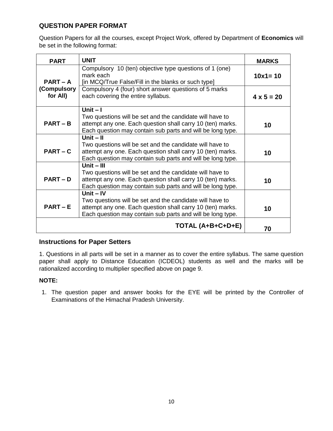# **QUESTION PAPER FORMAT**

Question Papers for all the courses, except Project Work, offered by Department of **Economics** will be set in the following format:

| <b>PART</b>             | <b>UNIT</b>                                                                                                                                                                                          | <b>MARKS</b>      |
|-------------------------|------------------------------------------------------------------------------------------------------------------------------------------------------------------------------------------------------|-------------------|
| <b>PART – A</b>         | Compulsory 10 (ten) objective type questions of 1 (one)<br>mark each<br>[in MCQ/True False/Fill in the blanks or such type]                                                                          | $10x1 = 10$       |
| (Compulsory<br>for All) | Compulsory 4 (four) short answer questions of 5 marks<br>each covering the entire syllabus.                                                                                                          | $4 \times 5 = 20$ |
| $PART - B$              | Unit $-1$<br>Two questions will be set and the candidate will have to<br>attempt any one. Each question shall carry 10 (ten) marks.<br>Each question may contain sub parts and will be long type.    | 10                |
| $PART - C$              | Unit $-$ II<br>Two questions will be set and the candidate will have to<br>attempt any one. Each question shall carry 10 (ten) marks.<br>Each question may contain sub parts and will be long type.  | 10                |
| <b>PART-D</b>           | Unit $-$ III<br>Two questions will be set and the candidate will have to<br>attempt any one. Each question shall carry 10 (ten) marks.<br>Each question may contain sub parts and will be long type. | 10                |
| $PART - E$              | Unit $-IV$<br>Two questions will be set and the candidate will have to<br>attempt any one. Each question shall carry 10 (ten) marks.<br>Each question may contain sub parts and will be long type.   | 10                |
|                         | TOTAL (A+B+C+D+E)                                                                                                                                                                                    | 70                |

## **Instructions for Paper Setters**

1. Questions in all parts will be set in a manner as to cover the entire syllabus. The same question paper shall apply to Distance Education (ICDEOL) students as well and the marks will be rationalized according to multiplier specified above on page 9.

### **NOTE:**

1. The question paper and answer books for the EYE will be printed by the Controller of Examinations of the Himachal Pradesh University.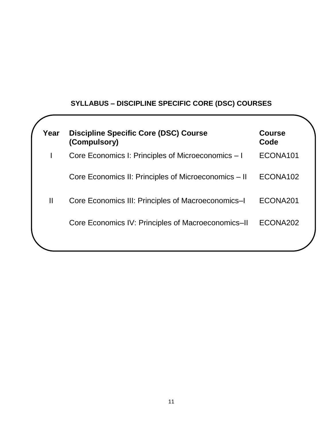# **SYLLABUS – DISCIPLINE SPECIFIC CORE (DSC) COURSES**

| Year         | <b>Discipline Specific Core (DSC) Course</b><br>(Compulsory) | <b>Course</b><br>Code |
|--------------|--------------------------------------------------------------|-----------------------|
|              | Core Economics I: Principles of Microeconomics – I           | ECONA101              |
|              | Core Economics II: Principles of Microeconomics – II         | ECONA102              |
| $\mathbf{I}$ | Core Economics III: Principles of Macroeconomics-I           | ECONA201              |
|              | Core Economics IV: Principles of Macroeconomics-II           | ECONA202              |
|              |                                                              |                       |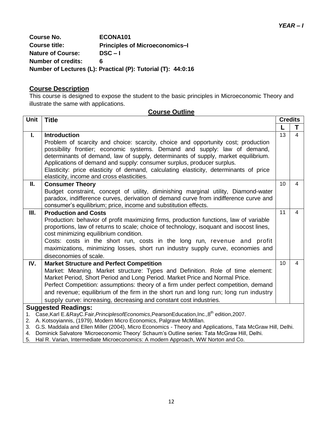**Course No. ECONA101 Course title: Principles of Microeconomics–I Nature of Course: DSC – I Number of credits: 6 Number of Lectures (L): Practical (P): Tutorial (T): 44:0:16**

# **Course Description**

This course is designed to expose the student to the basic principles in Microeconomic Theory and illustrate the same with applications.

|             | <b>Course Outline</b>                                                                                                                                                                                                                                                                                                       |                 |                |
|-------------|-----------------------------------------------------------------------------------------------------------------------------------------------------------------------------------------------------------------------------------------------------------------------------------------------------------------------------|-----------------|----------------|
| <b>Unit</b> | <b>Title</b>                                                                                                                                                                                                                                                                                                                | <b>Credits</b>  |                |
|             |                                                                                                                                                                                                                                                                                                                             |                 | Т              |
| I.          | <b>Introduction</b>                                                                                                                                                                                                                                                                                                         | 13              | $\overline{4}$ |
|             | Problem of scarcity and choice: scarcity, choice and opportunity cost; production<br>possibility frontier; economic systems. Demand and supply: law of demand,<br>determinants of demand, law of supply, determinants of supply, market equilibrium.                                                                        |                 |                |
|             | Applications of demand and supply: consumer surplus, producer surplus.<br>Elasticity: price elasticity of demand, calculating elasticity, determinants of price<br>elasticity, income and cross elasticities.                                                                                                               |                 |                |
| П.          | <b>Consumer Theory</b>                                                                                                                                                                                                                                                                                                      | 10 <sup>°</sup> | $\overline{4}$ |
|             | Budget constraint, concept of utility, diminishing marginal utility, Diamond-water<br>paradox, indifference curves, derivation of demand curve from indifference curve and<br>consumer's equilibrium; price, income and substitution effects.                                                                               |                 |                |
| Ш.          | <b>Production and Costs</b>                                                                                                                                                                                                                                                                                                 | 11              | 4              |
|             | Production: behavior of profit maximizing firms, production functions, law of variable<br>proportions, law of returns to scale; choice of technology, isoquant and isocost lines,<br>cost minimizing equilibrium condition.                                                                                                 |                 |                |
|             | Costs: costs in the short run, costs in the long run, revenue and profit<br>maximizations, minimizing losses, short run industry supply curve, economies and<br>diseconomies of scale.                                                                                                                                      |                 |                |
| IV.         | <b>Market Structure and Perfect Competition</b>                                                                                                                                                                                                                                                                             | 10 <sup>°</sup> | 4              |
|             | Market: Meaning. Market structure: Types and Definition. Role of time element:                                                                                                                                                                                                                                              |                 |                |
|             | Market Period, Short Period and Long Period. Market Price and Normal Price.                                                                                                                                                                                                                                                 |                 |                |
|             | Perfect Competition: assumptions: theory of a firm under perfect competition, demand                                                                                                                                                                                                                                        |                 |                |
|             | and revenue; equilibrium of the firm in the short run and long run; long run industry                                                                                                                                                                                                                                       |                 |                |
|             | supply curve: increasing, decreasing and constant cost industries.                                                                                                                                                                                                                                                          |                 |                |
| 1.<br>3.    | <b>Suggested Readings:</b><br>Case, Karl E.&RayC.Fair, PrinciplesofEconomics, PearsonEducation, Inc., 8 <sup>th</sup> edition, 2007.<br>2. A. Kotsoyiannis, (1979), Modern Micro Economics, Palgrave McMillan.<br>G.S. Maddala and Ellen Miller (2004), Micro Economics - Theory and Applications, Tata McGraw Hill, Delhi. |                 |                |

#### 3. G.S. Maddala and Ellen Miller (2004), Micro Economics - Theory and Applications, Tata McGraw Hill, Delhi.

- 4. Dominick Salvatore "Microeconomic Theory" Schaum"s Outline series: Tata McGraw Hill, Delhi.
- 5. Hal R. Varian, Intermediate Microeconomics: A modern Approach, WW Norton and Co.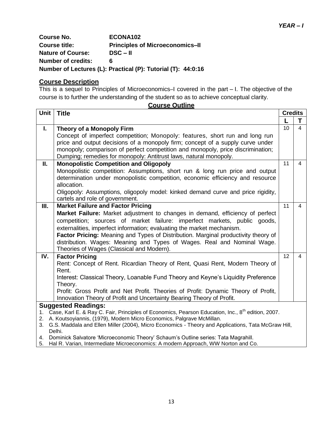| <b>Course No.</b>         | ECONA102                                                     |
|---------------------------|--------------------------------------------------------------|
| <b>Course title:</b>      | <b>Principles of Microeconomics-II</b>                       |
| <b>Nature of Course:</b>  | $DSC - II$                                                   |
| <b>Number of credits:</b> | 6                                                            |
|                           | Number of Lectures (L): Practical (P): Tutorial (T): 44:0:16 |

## **Course Description**

This is a sequel to Principles of Microeconomics–I covered in the part – I. The objective of the course is to further the understanding of the student so as to achieve conceptual clarity. **Course Outline**

|              | <u>Course Outline</u>                                                                                           |                |                |
|--------------|-----------------------------------------------------------------------------------------------------------------|----------------|----------------|
| <b>Unit</b>  | <b>Title</b>                                                                                                    | <b>Credits</b> |                |
|              |                                                                                                                 | $\mathsf{L}$   | T.             |
| $\mathbf{L}$ | Theory of a Monopoly Firm                                                                                       | 10             | $\overline{4}$ |
|              | Concept of imperfect competition; Monopoly: features, short run and long run                                    |                |                |
|              | price and output decisions of a monopoly firm; concept of a supply curve under                                  |                |                |
|              | monopoly; comparison of perfect competition and monopoly, price discrimination;                                 |                |                |
|              | Dumping; remedies for monopoly: Antitrust laws, natural monopoly.                                               |                |                |
| Ш.           | <b>Monopolistic Competition and Oligopoly</b>                                                                   | 11             | $\overline{4}$ |
|              | Monopolistic competition: Assumptions, short run & long run price and output                                    |                |                |
|              | determination under monopolistic competition, economic efficiency and resource                                  |                |                |
|              | allocation.                                                                                                     |                |                |
|              | Oligopoly: Assumptions, oligopoly model: kinked demand curve and price rigidity,                                |                |                |
|              | cartels and role of government.                                                                                 |                |                |
| Ш.           | <b>Market Failure and Factor Pricing</b>                                                                        | 11             | $\overline{4}$ |
|              | Market Failure: Market adjustment to changes in demand, efficiency of perfect                                   |                |                |
|              | competition; sources of market failure: imperfect markets, public goods,                                        |                |                |
|              | externalities, imperfect information; evaluating the market mechanism.                                          |                |                |
|              | Factor Pricing: Meaning and Types of Distribution. Marginal productivity theory of                              |                |                |
|              | distribution. Wages: Meaning and Types of Wages. Real and Nominal Wage.                                         |                |                |
|              | Theories of Wages (Classical and Modern).                                                                       |                |                |
| IV.          | <b>Factor Pricing</b>                                                                                           | 12             | 4              |
|              | Rent: Concept of Rent. Ricardian Theory of Rent, Quasi Rent, Modern Theory of                                   |                |                |
|              | Rent.                                                                                                           |                |                |
|              | Interest: Classical Theory, Loanable Fund Theory and Keyne's Liquidity Preference                               |                |                |
|              | Theory.                                                                                                         |                |                |
|              | Profit: Gross Profit and Net Profit. Theories of Profit: Dynamic Theory of Profit,                              |                |                |
|              | Innovation Theory of Profit and Uncertainty Bearing Theory of Profit.                                           |                |                |
|              | <b>Suggested Readings:</b>                                                                                      |                |                |
| 1.           | Case, Karl E. & Ray C. Fair, Principles of Economics, Pearson Education, Inc., 8 <sup>th</sup> edition, 2007.   |                |                |
|              | 2. A. Koutsoyiannis, (1979), Modern Micro Economics, Palgrave McMillan.                                         |                |                |
|              | 3. G.S. Maddala and Ellen Miller (2004), Micro Economics - Theory and Applications, Tata McGraw Hill,<br>Delhi. |                |                |
|              | 4. Dominick Salvatore 'Microeconomic Theory' Schaum's Outline series: Tata Magrahill.                           |                |                |
| 5.           | Hal R. Varian, Intermediate Microeconomics: A modern Approach, WW Norton and Co.                                |                |                |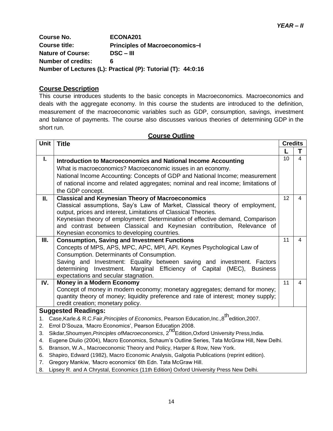**Course No. ECONA201 Course title: Principles of Macroeconomics–I Nature of Course: DSC – III Number of credits: 6 Number of Lectures (L): Practical (P): Tutorial (T): 44:0:16**

#### **Course Description**

This course introduces students to the basic concepts in Macroeconomics. Macroeconomics and deals with the aggregate economy. In this course the students are introduced to the definition, measurement of the macroeconomic variables such as GDP, consumption, savings, investment and balance of payments. The course also discusses various theories of determining GDP in the short run.

|                                        | <b>Course Outline</b>                                                                                                                                                                                                                                                                                                                                                                                                                                                                                                                                                                                                                                   |                 |                         |  |  |
|----------------------------------------|---------------------------------------------------------------------------------------------------------------------------------------------------------------------------------------------------------------------------------------------------------------------------------------------------------------------------------------------------------------------------------------------------------------------------------------------------------------------------------------------------------------------------------------------------------------------------------------------------------------------------------------------------------|-----------------|-------------------------|--|--|
| <b>Unit</b>                            | <b>Title</b>                                                                                                                                                                                                                                                                                                                                                                                                                                                                                                                                                                                                                                            | <b>Credits</b>  |                         |  |  |
|                                        |                                                                                                                                                                                                                                                                                                                                                                                                                                                                                                                                                                                                                                                         |                 | Т                       |  |  |
| I.                                     | <b>Introduction to Macroeconomics and National Income Accounting</b><br>What is macroeconomics? Macroeconomic issues in an economy.<br>National Income Accounting: Concepts of GDP and National Income; measurement<br>of national income and related aggregates; nominal and real income; limitations of<br>the GDP concept.                                                                                                                                                                                                                                                                                                                           | 10 <sup>1</sup> | $\overline{\mathbf{4}}$ |  |  |
| II.                                    | <b>Classical and Keynesian Theory of Macroeconomics</b><br>Classical assumptions, Say's Law of Market, Classical theory of employment,<br>output, prices and interest, Limitations of Classical Theories.<br>Keynesian theory of employment: Determination of effective demand, Comparison<br>and contrast between Classical and Keynesian contribution, Relevance of<br>Keynesian economics to developing countries.                                                                                                                                                                                                                                   | 12              | 4                       |  |  |
| Ш.                                     | <b>Consumption, Saving and Investment Functions</b><br>Concepts of MPS, APS, MPC, APC, MPI, API. Keynes Psychological Law of<br>Consumption. Determinants of Consumption.<br>Saving and Investment: Equality between saving and investment. Factors<br>determining Investment. Marginal Efficiency of Capital (MEC),<br><b>Business</b><br>expectations and secular stagnation.                                                                                                                                                                                                                                                                         | 11              | 4                       |  |  |
| IV.                                    | Money in a Modern Economy<br>Concept of money in modern economy; monetary aggregates; demand for money;<br>quantity theory of money; liquidity preference and rate of interest; money supply;<br>credit creation; monetary policy.                                                                                                                                                                                                                                                                                                                                                                                                                      | 11              | 4                       |  |  |
| 1.<br>2.<br>3.<br>4.<br>5.<br>6.<br>7. | <b>Suggested Readings:</b><br>Case, Karle.& R.C.Fair, Principles of Economics, Pearson Education, Inc., 8 <sup>th</sup> edition, 2007.<br>Errol D'Souza, 'Macro Economics', Pearson Education 2008.<br>Sikdar, Shoumyen, Principles of Macroeconomics, 2 <sup>nd</sup> Edition, Oxford University Press, India.<br>Eugene Diulio (2004), Macro Economics, Schaum's Outline Series, Tata McGraw Hill, New Delhi.<br>Branson, W.A., Macroeconomic Theory and Policy, Harper & Row, New York.<br>Shapiro, Edward (1982), Macro Economic Analysis, Galgotia Publications (reprint edition).<br>Gregory Mankiw, 'Macro economics' 6th Edn. Tata McGraw Hill. |                 |                         |  |  |

8. Lipsey R. and A Chrystal, Economics (11th Edition) Oxford University Press New Delhi.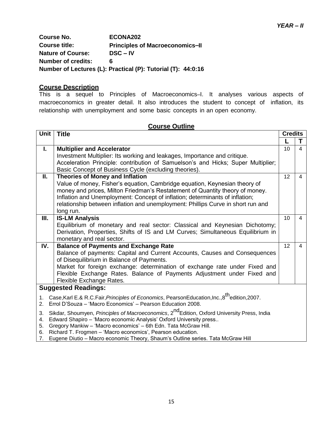**Course No. ECONA202 Course title: Principles of Macroeconomics–II Nature of Course: DSC – IV Number of credits: 6 Number of Lectures (L): Practical (P): Tutorial (T): 44:0:16**

## **Course Description**

This is a sequel to Principles of Macroeconomics–I. It analyses various aspects of macroeconomics in greater detail. It also introduces the student to concept of inflation, its relationship with unemployment and some basic concepts in an open economy.

|                                                                                                                                                                                                                                                                    | <b>Course Outline</b>                                                                                                                                                                                                                                                                                                                                                                 |                |                |  |  |
|--------------------------------------------------------------------------------------------------------------------------------------------------------------------------------------------------------------------------------------------------------------------|---------------------------------------------------------------------------------------------------------------------------------------------------------------------------------------------------------------------------------------------------------------------------------------------------------------------------------------------------------------------------------------|----------------|----------------|--|--|
| Unit                                                                                                                                                                                                                                                               | <b>Title</b>                                                                                                                                                                                                                                                                                                                                                                          | <b>Credits</b> |                |  |  |
|                                                                                                                                                                                                                                                                    |                                                                                                                                                                                                                                                                                                                                                                                       |                | T              |  |  |
| L.                                                                                                                                                                                                                                                                 | <b>Multiplier and Accelerator</b><br>Investment Multiplier: Its working and leakages, Importance and critique.<br>Acceleration Principle: contribution of Samuelson's and Hicks; Super Multiplier;<br>Basic Concept of Business Cycle (excluding theories).                                                                                                                           | 10             | $\overline{4}$ |  |  |
| Ш.                                                                                                                                                                                                                                                                 | <b>Theories of Money and Inflation</b><br>Value of money, Fisher's equation, Cambridge equation, Keynesian theory of<br>money and prices, Milton Friedman's Restatement of Quantity theory of money.<br>Inflation and Unemployment: Concept of inflation; determinants of inflation;<br>relationship between inflation and unemployment: Phillips Curve in short run and<br>long run. | 12             | $\overline{4}$ |  |  |
| Ш.                                                                                                                                                                                                                                                                 | <b>IS-LM Analysis</b><br>Equilibrium of monetary and real sector: Classical and Keynesian Dichotomy;<br>Derivation, Properties, Shifts of IS and LM Curves; Simultaneous Equilibrium in<br>monetary and real sector.                                                                                                                                                                  | 10             | $\overline{4}$ |  |  |
| IV.                                                                                                                                                                                                                                                                | <b>Balance of Payments and Exchange Rate</b><br>Balance of payments: Capital and Current Accounts, Causes and Consequences<br>of Disequilibrium in Balance of Payments.<br>Market for foreign exchange: determination of exchange rate under Fixed and<br>Flexible Exchange Rates. Balance of Payments Adjustment under Fixed and<br>Flexible Exchange Rates.                         | 12             | $\overline{4}$ |  |  |
|                                                                                                                                                                                                                                                                    | <b>Suggested Readings:</b>                                                                                                                                                                                                                                                                                                                                                            |                |                |  |  |
| Case, Karl E.& R.C.Fair, Principles of Economics, PearsonEducation, Inc., 8 <sup>th</sup> edition, 2007.<br>1.<br>Errol D'Souza - 'Macro Economics' - Pearson Education 2008.<br>2.                                                                                |                                                                                                                                                                                                                                                                                                                                                                                       |                |                |  |  |
| Sikdar, Shoumyen, Principles of Macroeconomics, 2 <sup>nd</sup> Edition, Oxford University Press, India<br>3.<br>Edward Shapiro - 'Macro economic Analysis' Oxford University press<br>4.<br>Gregory Mankiw - 'Macro economics' - 6th Edn. Tata McGraw Hill.<br>5. |                                                                                                                                                                                                                                                                                                                                                                                       |                |                |  |  |

- 6. Richard T. Frogmen "Macro economics", Pearson education.
- 7. Eugene Diutio Macro economic Theory, Shaum"s Outline series. Tata McGraw Hill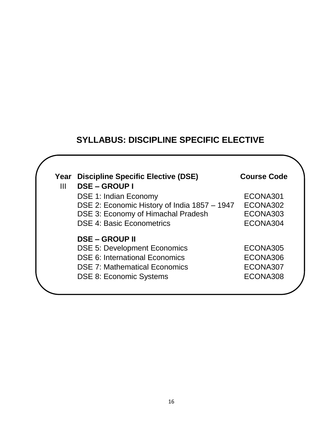# **SYLLABUS: DISCIPLINE SPECIFIC ELECTIVE**

| Ш | Year Discipline Specific Elective (DSE)<br><b>DSE-GROUPI</b> | <b>Course Code</b> |
|---|--------------------------------------------------------------|--------------------|
|   | <b>DSE 1: Indian Economy</b>                                 | ECONA301           |
|   | DSE 2: Economic History of India 1857 - 1947                 | ECONA302           |
|   | DSE 3: Economy of Himachal Pradesh                           | ECONA303           |
|   | <b>DSE 4: Basic Econometrics</b>                             | ECONA304           |
|   | <b>DSE – GROUP II</b>                                        |                    |
|   | <b>DSE 5: Development Economics</b>                          | ECONA305           |
|   | <b>DSE 6: International Economics</b>                        | ECONA306           |
|   | <b>DSE 7: Mathematical Economics</b>                         | ECONA307           |
|   | <b>DSE 8: Economic Systems</b>                               | ECONA308           |
|   |                                                              |                    |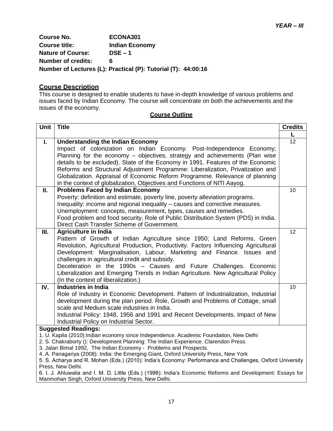**Course No. ECONA301 Course title: Indian Economy Nature of Course: DSE – 1 Number of credits: 6 Number of Lectures (L): Practical (P): Tutorial (T): 44:00:16**

#### **Course Description**

This course is designed to enable students to have in-depth knowledge of various problems and issues faced by Indian Economy. The course will concentrate on both the achievements and the issues of the economy.

| <b>Unit</b> | <b>Title</b>                                                                                                                                                                                                                                                                                                                                                                                                                                                                                                                                                                                                                                                                                                                                                                                                                                                                                                                                                                                                                                                                                                                                                                                                                                                                                                                                                                                                                                                                                                                                                        | <b>Credits</b> |
|-------------|---------------------------------------------------------------------------------------------------------------------------------------------------------------------------------------------------------------------------------------------------------------------------------------------------------------------------------------------------------------------------------------------------------------------------------------------------------------------------------------------------------------------------------------------------------------------------------------------------------------------------------------------------------------------------------------------------------------------------------------------------------------------------------------------------------------------------------------------------------------------------------------------------------------------------------------------------------------------------------------------------------------------------------------------------------------------------------------------------------------------------------------------------------------------------------------------------------------------------------------------------------------------------------------------------------------------------------------------------------------------------------------------------------------------------------------------------------------------------------------------------------------------------------------------------------------------|----------------|
|             |                                                                                                                                                                                                                                                                                                                                                                                                                                                                                                                                                                                                                                                                                                                                                                                                                                                                                                                                                                                                                                                                                                                                                                                                                                                                                                                                                                                                                                                                                                                                                                     | L              |
| Ι.          | <b>Understanding the Indian Economy</b>                                                                                                                                                                                                                                                                                                                                                                                                                                                                                                                                                                                                                                                                                                                                                                                                                                                                                                                                                                                                                                                                                                                                                                                                                                                                                                                                                                                                                                                                                                                             | 12             |
|             | Impact of colonization on Indian Economy. Post-Independence Economy;                                                                                                                                                                                                                                                                                                                                                                                                                                                                                                                                                                                                                                                                                                                                                                                                                                                                                                                                                                                                                                                                                                                                                                                                                                                                                                                                                                                                                                                                                                |                |
|             | Planning for the economy - objectives, strategy and achievements (Plan wise                                                                                                                                                                                                                                                                                                                                                                                                                                                                                                                                                                                                                                                                                                                                                                                                                                                                                                                                                                                                                                                                                                                                                                                                                                                                                                                                                                                                                                                                                         |                |
|             | details to be excluded). State of the Economy in 1991. Features of the Economic                                                                                                                                                                                                                                                                                                                                                                                                                                                                                                                                                                                                                                                                                                                                                                                                                                                                                                                                                                                                                                                                                                                                                                                                                                                                                                                                                                                                                                                                                     |                |
|             | Reforms and Structural Adjustment Programme: Liberalization, Privatization and                                                                                                                                                                                                                                                                                                                                                                                                                                                                                                                                                                                                                                                                                                                                                                                                                                                                                                                                                                                                                                                                                                                                                                                                                                                                                                                                                                                                                                                                                      |                |
|             | Globalization. Appraisal of Economic Reform Programme. Relevance of planning                                                                                                                                                                                                                                                                                                                                                                                                                                                                                                                                                                                                                                                                                                                                                                                                                                                                                                                                                                                                                                                                                                                                                                                                                                                                                                                                                                                                                                                                                        |                |
|             | in the context of globalization, Objectives and Functions of NITI Aayog.                                                                                                                                                                                                                                                                                                                                                                                                                                                                                                                                                                                                                                                                                                                                                                                                                                                                                                                                                                                                                                                                                                                                                                                                                                                                                                                                                                                                                                                                                            |                |
| П.          | <b>Problems Faced by Indian Economy</b>                                                                                                                                                                                                                                                                                                                                                                                                                                                                                                                                                                                                                                                                                                                                                                                                                                                                                                                                                                                                                                                                                                                                                                                                                                                                                                                                                                                                                                                                                                                             | 10             |
|             |                                                                                                                                                                                                                                                                                                                                                                                                                                                                                                                                                                                                                                                                                                                                                                                                                                                                                                                                                                                                                                                                                                                                                                                                                                                                                                                                                                                                                                                                                                                                                                     |                |
|             |                                                                                                                                                                                                                                                                                                                                                                                                                                                                                                                                                                                                                                                                                                                                                                                                                                                                                                                                                                                                                                                                                                                                                                                                                                                                                                                                                                                                                                                                                                                                                                     |                |
|             |                                                                                                                                                                                                                                                                                                                                                                                                                                                                                                                                                                                                                                                                                                                                                                                                                                                                                                                                                                                                                                                                                                                                                                                                                                                                                                                                                                                                                                                                                                                                                                     |                |
|             |                                                                                                                                                                                                                                                                                                                                                                                                                                                                                                                                                                                                                                                                                                                                                                                                                                                                                                                                                                                                                                                                                                                                                                                                                                                                                                                                                                                                                                                                                                                                                                     |                |
|             |                                                                                                                                                                                                                                                                                                                                                                                                                                                                                                                                                                                                                                                                                                                                                                                                                                                                                                                                                                                                                                                                                                                                                                                                                                                                                                                                                                                                                                                                                                                                                                     |                |
|             |                                                                                                                                                                                                                                                                                                                                                                                                                                                                                                                                                                                                                                                                                                                                                                                                                                                                                                                                                                                                                                                                                                                                                                                                                                                                                                                                                                                                                                                                                                                                                                     |                |
|             |                                                                                                                                                                                                                                                                                                                                                                                                                                                                                                                                                                                                                                                                                                                                                                                                                                                                                                                                                                                                                                                                                                                                                                                                                                                                                                                                                                                                                                                                                                                                                                     |                |
|             |                                                                                                                                                                                                                                                                                                                                                                                                                                                                                                                                                                                                                                                                                                                                                                                                                                                                                                                                                                                                                                                                                                                                                                                                                                                                                                                                                                                                                                                                                                                                                                     |                |
|             |                                                                                                                                                                                                                                                                                                                                                                                                                                                                                                                                                                                                                                                                                                                                                                                                                                                                                                                                                                                                                                                                                                                                                                                                                                                                                                                                                                                                                                                                                                                                                                     |                |
|             | Deceleration in the 1990s - Causes and Future Challenges. Economic                                                                                                                                                                                                                                                                                                                                                                                                                                                                                                                                                                                                                                                                                                                                                                                                                                                                                                                                                                                                                                                                                                                                                                                                                                                                                                                                                                                                                                                                                                  |                |
|             | Liberalization and Emerging Trends in Indian Agriculture. New Agricultural Policy                                                                                                                                                                                                                                                                                                                                                                                                                                                                                                                                                                                                                                                                                                                                                                                                                                                                                                                                                                                                                                                                                                                                                                                                                                                                                                                                                                                                                                                                                   |                |
|             | (In the context of liberalization.)                                                                                                                                                                                                                                                                                                                                                                                                                                                                                                                                                                                                                                                                                                                                                                                                                                                                                                                                                                                                                                                                                                                                                                                                                                                                                                                                                                                                                                                                                                                                 |                |
| IV.         |                                                                                                                                                                                                                                                                                                                                                                                                                                                                                                                                                                                                                                                                                                                                                                                                                                                                                                                                                                                                                                                                                                                                                                                                                                                                                                                                                                                                                                                                                                                                                                     | 10             |
|             |                                                                                                                                                                                                                                                                                                                                                                                                                                                                                                                                                                                                                                                                                                                                                                                                                                                                                                                                                                                                                                                                                                                                                                                                                                                                                                                                                                                                                                                                                                                                                                     |                |
|             |                                                                                                                                                                                                                                                                                                                                                                                                                                                                                                                                                                                                                                                                                                                                                                                                                                                                                                                                                                                                                                                                                                                                                                                                                                                                                                                                                                                                                                                                                                                                                                     |                |
|             |                                                                                                                                                                                                                                                                                                                                                                                                                                                                                                                                                                                                                                                                                                                                                                                                                                                                                                                                                                                                                                                                                                                                                                                                                                                                                                                                                                                                                                                                                                                                                                     |                |
|             |                                                                                                                                                                                                                                                                                                                                                                                                                                                                                                                                                                                                                                                                                                                                                                                                                                                                                                                                                                                                                                                                                                                                                                                                                                                                                                                                                                                                                                                                                                                                                                     |                |
|             |                                                                                                                                                                                                                                                                                                                                                                                                                                                                                                                                                                                                                                                                                                                                                                                                                                                                                                                                                                                                                                                                                                                                                                                                                                                                                                                                                                                                                                                                                                                                                                     |                |
|             |                                                                                                                                                                                                                                                                                                                                                                                                                                                                                                                                                                                                                                                                                                                                                                                                                                                                                                                                                                                                                                                                                                                                                                                                                                                                                                                                                                                                                                                                                                                                                                     |                |
|             |                                                                                                                                                                                                                                                                                                                                                                                                                                                                                                                                                                                                                                                                                                                                                                                                                                                                                                                                                                                                                                                                                                                                                                                                                                                                                                                                                                                                                                                                                                                                                                     |                |
|             |                                                                                                                                                                                                                                                                                                                                                                                                                                                                                                                                                                                                                                                                                                                                                                                                                                                                                                                                                                                                                                                                                                                                                                                                                                                                                                                                                                                                                                                                                                                                                                     |                |
|             | 4. A. Panagariya (2008): India: the Emerging Giant, Oxford University Press, New York                                                                                                                                                                                                                                                                                                                                                                                                                                                                                                                                                                                                                                                                                                                                                                                                                                                                                                                                                                                                                                                                                                                                                                                                                                                                                                                                                                                                                                                                               |                |
|             | 5. S. Acharya and R. Mohan (Eds.) (2010): India's Economy: Performance and Challenges, Oxford University                                                                                                                                                                                                                                                                                                                                                                                                                                                                                                                                                                                                                                                                                                                                                                                                                                                                                                                                                                                                                                                                                                                                                                                                                                                                                                                                                                                                                                                            |                |
|             |                                                                                                                                                                                                                                                                                                                                                                                                                                                                                                                                                                                                                                                                                                                                                                                                                                                                                                                                                                                                                                                                                                                                                                                                                                                                                                                                                                                                                                                                                                                                                                     |                |
|             |                                                                                                                                                                                                                                                                                                                                                                                                                                                                                                                                                                                                                                                                                                                                                                                                                                                                                                                                                                                                                                                                                                                                                                                                                                                                                                                                                                                                                                                                                                                                                                     |                |
| Ш.          | Poverty: definition and estimate, poverty line, poverty alleviation programs.<br>Inequality: income and regional inequality - causes and corrective measures.<br>Unemployment: concepts, measurement, types, causes and remedies.<br>Food problem and food security, Role of Public Distribution System (PDS) in India.<br>Direct Cash Transfer Scheme of Government.<br><b>Agriculture in India</b><br>Pattern of Growth of Indian Agriculture since 1950; Land Reforms, Green<br>Revolution, Agricultural Production, Productivity. Factors Influencing Agricultural<br>Development: Marginalisation, Labour, Marketing and Finance. Issues and<br>challenges in agricultural credit and subsidy.<br><b>Industries in India</b><br>Role of Industry in Economic Development. Pattern of Industrialization, Industrial<br>development during the plan period. Role, Growth and Problems of Cottage, small<br>scale and Medium scale industries in India.<br>Industrial Policy: 1948, 1956 and 1991 and Recent Developments. Impact of New<br>Industrial Policy on Industrial Sector.<br><b>Suggested Readings:</b><br>1. U. Kapila (2010): Indian economy since Independence. Academic Foundation, New Delhi<br>2. S. Chakraborty (): Development Planning: The Indian Experience. Clarendon Press.<br>3. Jalan Bimal 1992, The Indian Economy - Problems and Prospects.<br>Press, New Delhi.<br>6. I. J. Ahluwalia and I. M. D. Little (Eds.) (1998): India's Economic Reforms and Development: Essays for<br>Manmohan Singh, Oxford University Press, New Delhi. | 12             |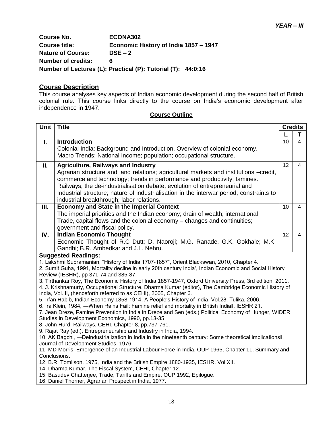**Course No. ECONA302 Course title: Economic History of India 1857 – 1947 Nature of Course: DSE – 2 Number of credits: 6 Number of Lectures (L): Practical (P): Tutorial (T): 44:0:16**

#### **Course Description**

This course analyses key aspects of Indian economic development during the second half of British colonial rule. This course links directly to the course on India"s economic development after independence in 1947.

| Unit                                                               | <b>Title</b>                                                                                                                                                                                        | <b>Credits</b> |                |  |
|--------------------------------------------------------------------|-----------------------------------------------------------------------------------------------------------------------------------------------------------------------------------------------------|----------------|----------------|--|
|                                                                    |                                                                                                                                                                                                     |                | т              |  |
| L.                                                                 | <b>Introduction</b>                                                                                                                                                                                 | 10             | $\overline{4}$ |  |
|                                                                    | Colonial India: Background and Introduction, Overview of colonial economy.                                                                                                                          |                |                |  |
|                                                                    | Macro Trends: National Income; population; occupational structure.                                                                                                                                  |                |                |  |
| П.                                                                 | <b>Agriculture, Railways and Industry</b>                                                                                                                                                           | 12             | 4              |  |
|                                                                    | Agrarian structure and land relations; agricultural markets and institutions -credit,                                                                                                               |                |                |  |
|                                                                    | commerce and technology; trends in performance and productivity; famines.                                                                                                                           |                |                |  |
|                                                                    | Railways; the de-industrialisation debate; evolution of entrepreneurial and                                                                                                                         |                |                |  |
|                                                                    | Industrial structure; nature of industrialisation in the interwar period; constraints to<br>industrial breakthrough; labor relations.                                                               |                |                |  |
| Ш.                                                                 | <b>Economy and State in the Imperial Context</b>                                                                                                                                                    | 10             | 4              |  |
|                                                                    | The imperial priorities and the Indian economy; drain of wealth; international                                                                                                                      |                |                |  |
|                                                                    | Trade, capital flows and the colonial economy - changes and continuities;                                                                                                                           |                |                |  |
|                                                                    | government and fiscal policy.                                                                                                                                                                       |                |                |  |
| IV.                                                                | <b>Indian Economic Thought</b>                                                                                                                                                                      | 12             | 4              |  |
|                                                                    | Economic Thought of R.C Dutt; D. Naoroji; M.G. Ranade, G.K. Gokhale; M.K.                                                                                                                           |                |                |  |
|                                                                    | Gandhi; B.R. Ambedkar and J.L. Nehru.                                                                                                                                                               |                |                |  |
|                                                                    | <b>Suggested Readings:</b>                                                                                                                                                                          |                |                |  |
|                                                                    | 1. Lakshmi Subramanian, "History of India 1707-1857", Orient Blackswan, 2010, Chapter 4.<br>2. Sumit Guha, 1991, Mortality decline in early 20th century India', Indian Economic and Social History |                |                |  |
|                                                                    | Review (IESHR), pp 371-74 and 385-87.                                                                                                                                                               |                |                |  |
|                                                                    | 3. Tirthankar Roy, The Economic History of India 1857-1947, Oxford University Press, 3rd edition, 2011.                                                                                             |                |                |  |
|                                                                    | 4. J. Krishnamurty, Occupational Structure, Dharma Kumar (editor), The Cambridge Economic History of                                                                                                |                |                |  |
| India, Vol. II, (henceforth referred to as CEHI), 2005, Chapter 6. |                                                                                                                                                                                                     |                |                |  |
|                                                                    | 5. Irfan Habib, Indian Economy 1858-1914, A People's History of India, Vol.28, Tulika, 2006.<br>6. Ira Klein, 1984, -When Rains Fail: Famine relief and mortality in British Indiall, IESHR 21.     |                |                |  |
|                                                                    | 7. Jean Dreze, Famine Prevention in India in Dreze and Sen (eds.) Political Economy of Hunger, WIDER                                                                                                |                |                |  |
|                                                                    | Studies in Development Economics, 1990, pp.13-35.                                                                                                                                                   |                |                |  |
|                                                                    | 8. John Hurd, Railways, CEHI, Chapter 8, pp.737-761.                                                                                                                                                |                |                |  |
|                                                                    | 9. Rajat Ray (ed.), Entrepreneurship and Industry in India, 1994.                                                                                                                                   |                |                |  |
|                                                                    | 10. AK Bagchi, —Deindustrialization in India in the nineteenth century: Some theoretical implicationsll,                                                                                            |                |                |  |
|                                                                    | Journal of Development Studies, 1976.<br>11. MD Morris, Emergence of an Industrial Labour Force in India, OUP 1965, Chapter 11, Summary and                                                         |                |                |  |
|                                                                    | Conclusions.                                                                                                                                                                                        |                |                |  |
|                                                                    | 12. B.R. Tomlison, 1975, India and the British Empire 1880-1935, IESHR, Vol.XII.                                                                                                                    |                |                |  |
|                                                                    | 14. Dharma Kumar, The Fiscal System, CEHI, Chapter 12.                                                                                                                                              |                |                |  |
|                                                                    | 15. Basudev Chatterjee, Trade, Tariffs and Empire, OUP 1992, Epilogue.<br>16. Daniel Thorner, Agrarian Prospect in India, 1977.                                                                     |                |                |  |
|                                                                    |                                                                                                                                                                                                     |                |                |  |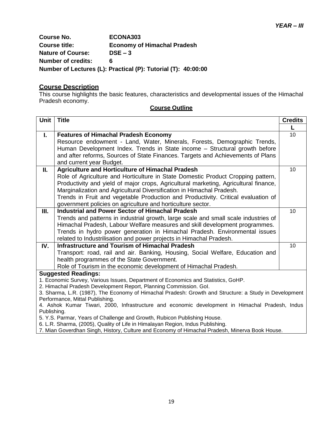**Course No. ECONA303 Course title: Economy of Himachal Pradesh Nature of Course: DSE – 3 Number of credits: 6 Number of Lectures (L): Practical (P): Tutorial (T): 40:00:00**

#### **Course Description**

This course highlights the basic features, characteristics and developmental issues of the Himachal Pradesh economy.

| <b>Course Outline</b> |  |  |
|-----------------------|--|--|
|                       |  |  |

| <b>Unit</b> | <b>Title</b>                                                                                                                                                  | <b>Credits</b> |
|-------------|---------------------------------------------------------------------------------------------------------------------------------------------------------------|----------------|
|             |                                                                                                                                                               |                |
| L.          | <b>Features of Himachal Pradesh Economy</b>                                                                                                                   | 10             |
|             | Resource endowment - Land, Water, Minerals, Forests, Demographic Trends,                                                                                      |                |
|             | Human Development Index. Trends in State income - Structural growth before                                                                                    |                |
|             | and after reforms, Sources of State Finances. Targets and Achievements of Plans                                                                               |                |
|             | and current year Budget.                                                                                                                                      |                |
| II.         | Agriculture and Horticulture of Himachal Pradesh                                                                                                              | 10             |
|             | Role of Agriculture and Horticulture in State Domestic Product Cropping pattern,                                                                              |                |
|             | Productivity and yield of major crops, Agricultural marketing, Agricultural finance,<br>Marginalization and Agricultural Diversification in Himachal Pradesh. |                |
|             | Trends in Fruit and vegetable Production and Productivity. Critical evaluation of                                                                             |                |
|             | government policies on agriculture and horticulture sector.                                                                                                   |                |
| III.        | <b>Industrial and Power Sector of Himachal Pradesh</b>                                                                                                        | 10             |
|             | Trends and patterns in industrial growth, large scale and small scale industries of                                                                           |                |
|             | Himachal Pradesh, Labour Welfare measures and skill development programmes.                                                                                   |                |
|             | Trends in hydro power generation in Himachal Pradesh. Environmental issues                                                                                    |                |
|             | related to Industrilisation and power projects in Himachal Pradesh.                                                                                           |                |
| IV.         | Infrastructure and Tourism of Himachal Pradesh                                                                                                                | 10             |
|             | Transport: road, rail and air. Banking, Housing, Social Welfare, Education and                                                                                |                |
|             | health programmes of the State Government.                                                                                                                    |                |
|             | Role of Tourism in the economic development of Himachal Pradesh.                                                                                              |                |
|             | <b>Suggested Readings:</b>                                                                                                                                    |                |
|             | 1. Economic Survey, Various Issues, Department of Economics and Statistics, GoHP.<br>2. Himachal Pradesh Development Report, Planning Commission. Gol.        |                |
|             | 3. Sharma, L.R. (1987), The Economy of Himachal Pradesh: Growth and Structure: a Study in Development                                                         |                |
|             | Performance, Mittal Publishing.                                                                                                                               |                |
|             | 4. Ashok Kumar Tiwari, 2000, Infrastructure and economic development in Himachal Pradesh, Indus                                                               |                |
| Publishing. |                                                                                                                                                               |                |
|             | 5. Y.S. Parmar, Years of Challenge and Growth, Rubicon Publishing House.                                                                                      |                |
|             | 6. L.R. Sharma, (2005), Quality of Life in Himalayan Region, Indus Publishing.                                                                                |                |

7. Mian Goverdhan Singh, History, Culture and Economy of Himachal Pradesh, Minerva Book House.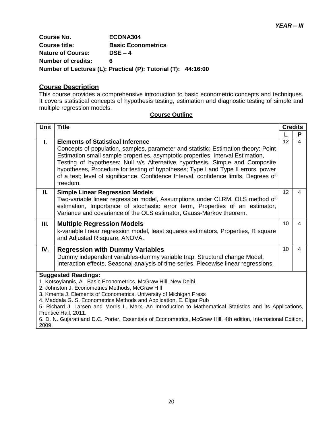**Course No. ECONA304 Course title: Basic Econometrics Nature of Course: DSE – 4 Number of credits: 6 Number of Lectures (L): Practical (P): Tutorial (T): 44:16:00**

#### **Course Description**

This course provides a comprehensive introduction to basic econometric concepts and techniques. It covers statistical concepts of hypothesis testing, estimation and diagnostic testing of simple and multiple regression models.

| <b>Unit</b>                                                                                                                                                                                                                                                                                                                                                                                                                                                                                                                                                     | <b>Title</b>                                                                                                                                                                                                                                                                                                                                                                                                                                                                               |    | <b>Credits</b> |  |
|-----------------------------------------------------------------------------------------------------------------------------------------------------------------------------------------------------------------------------------------------------------------------------------------------------------------------------------------------------------------------------------------------------------------------------------------------------------------------------------------------------------------------------------------------------------------|--------------------------------------------------------------------------------------------------------------------------------------------------------------------------------------------------------------------------------------------------------------------------------------------------------------------------------------------------------------------------------------------------------------------------------------------------------------------------------------------|----|----------------|--|
|                                                                                                                                                                                                                                                                                                                                                                                                                                                                                                                                                                 |                                                                                                                                                                                                                                                                                                                                                                                                                                                                                            |    | P              |  |
| $\mathbf{L}$                                                                                                                                                                                                                                                                                                                                                                                                                                                                                                                                                    | <b>Elements of Statistical Inference</b><br>Concepts of population, samples, parameter and statistic; Estimation theory: Point<br>Estimation small sample properties, asymptotic properties, Interval Estimation,<br>Testing of hypotheses: Null v/s Alternative hypothesis, Simple and Composite<br>hypotheses, Procedure for testing of hypotheses; Type I and Type II errors; power<br>of a test; level of significance, Confidence Interval, confidence limits, Degrees of<br>freedom. | 12 | $\overline{4}$ |  |
| Ш.                                                                                                                                                                                                                                                                                                                                                                                                                                                                                                                                                              | <b>Simple Linear Regression Models</b><br>Two-variable linear regression model, Assumptions under CLRM, OLS method of<br>estimation, Importance of stochastic error term, Properties of an estimator,<br>Variance and covariance of the OLS estimator, Gauss-Markov theorem.                                                                                                                                                                                                               | 12 | 4              |  |
| Ш.                                                                                                                                                                                                                                                                                                                                                                                                                                                                                                                                                              | <b>Multiple Regression Models</b><br>k-variable linear regression model, least squares estimators, Properties, R square<br>and Adjusted R square, ANOVA.                                                                                                                                                                                                                                                                                                                                   | 10 | 4              |  |
| IV.                                                                                                                                                                                                                                                                                                                                                                                                                                                                                                                                                             | <b>Regression with Dummy Variables</b><br>Dummy independent variables-dummy variable trap, Structural change Model,<br>Interaction effects, Seasonal analysis of time series, Piecewise linear regressions.                                                                                                                                                                                                                                                                                | 10 | 4              |  |
| <b>Suggested Readings:</b><br>1. Kotsoyiannis, A Basic Econometrics. McGraw Hill, New Delhi.<br>2. Johnston J. Econometrics Methods, McGraw Hill<br>3. Kmenta J. Elements of Econometrics. University of Michigan Press<br>4. Maddala G. S. Econometrics Methods and Application. E. Elgar Pub<br>5. Richard J. Larsen and Morris L. Marx, An Introduction to Mathematical Statistics and its Applications,<br>Prentice Hall, 2011.<br>6. D. N. Gujarati and D.C. Porter, Essentials of Econometrics, McGraw Hill, 4th edition, International Edition,<br>2009. |                                                                                                                                                                                                                                                                                                                                                                                                                                                                                            |    |                |  |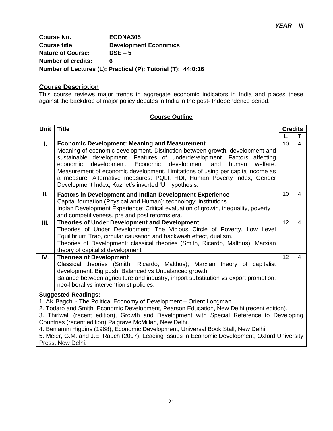**Course No. ECONA305 Course title: Development Economics Nature of Course: DSE – 5 Number of credits: 6 Number of Lectures (L): Practical (P): Tutorial (T): 44:0:16**

#### **Course Description**

This course reviews major trends in aggregate economic indicators in India and places these against the backdrop of major policy debates in India in the post- Independence period.

#### **Course Outline**

| Unit                                                                                                                                                                                                                                                                                                                                                                                                                                                                                                                                               | <b>Title</b>                                                                                                                                                                                                                                                                                                                                                                                                                                                                                                    | <b>Credits</b>  |                |
|----------------------------------------------------------------------------------------------------------------------------------------------------------------------------------------------------------------------------------------------------------------------------------------------------------------------------------------------------------------------------------------------------------------------------------------------------------------------------------------------------------------------------------------------------|-----------------------------------------------------------------------------------------------------------------------------------------------------------------------------------------------------------------------------------------------------------------------------------------------------------------------------------------------------------------------------------------------------------------------------------------------------------------------------------------------------------------|-----------------|----------------|
|                                                                                                                                                                                                                                                                                                                                                                                                                                                                                                                                                    |                                                                                                                                                                                                                                                                                                                                                                                                                                                                                                                 |                 | т              |
| I.                                                                                                                                                                                                                                                                                                                                                                                                                                                                                                                                                 | <b>Economic Development: Meaning and Measurement</b><br>Meaning of economic development. Distinction between growth, development and<br>sustainable development. Features of underdevelopment. Factors affecting<br>development. Economic development and<br>economic<br>human<br>welfare.<br>Measurement of economic development. Limitations of using per capita income as<br>a measure. Alternative measures: PQLI, HDI, Human Poverty Index, Gender<br>Development Index, Kuznet's inverted 'U' hypothesis. | 10 <sup>1</sup> | 4              |
| Ш.                                                                                                                                                                                                                                                                                                                                                                                                                                                                                                                                                 | <b>Factors in Development and Indian Development Experience</b><br>Capital formation (Physical and Human); technology; institutions.<br>Indian Development Experience: Critical evaluation of growth, inequality, poverty<br>and competitiveness, pre and post reforms era.                                                                                                                                                                                                                                     | 10              | 4              |
| Ш.                                                                                                                                                                                                                                                                                                                                                                                                                                                                                                                                                 | Theories of Under Development and Development<br>Theories of Under Development: The Vicious Circle of Poverty, Low Level<br>Equilibrium Trap, circular causation and backwash effect, dualism.<br>Theories of Development: classical theories (Smith, Ricardo, Malthus), Marxian<br>theory of capitalist development.                                                                                                                                                                                           | 12              | $\overline{4}$ |
| IV.                                                                                                                                                                                                                                                                                                                                                                                                                                                                                                                                                | <b>Theories of Development</b><br>Classical theories (Smith, Ricardo, Malthus); Marxian theory of capitalist<br>development. Big push, Balanced vs Unbalanced growth.<br>Balance between agriculture and industry, import substitution vs export promotion,<br>neo-liberal vs interventionist policies.                                                                                                                                                                                                         | 12              | $\overline{4}$ |
| <b>Suggested Readings:</b><br>1. AK Bagchi - The Political Economy of Development - Orient Longman<br>2. Todaro and Smith, Economic Development, Pearson Education, New Delhi (recent edition).<br>3. Thirlwall (recent edition), Growth and Development with Special Reference to Developing<br>Countries (recent edition) Palgrave McMillan, New Delhi.<br>4. Benjamin Higgins (1968), Economic Development, Universal Book Stall, New Delhi.<br>5. Meier, G.M. and J.E. Rauch (2007), Leading Issues in Economic Development, Oxford University |                                                                                                                                                                                                                                                                                                                                                                                                                                                                                                                 |                 |                |

Press, New Delhi.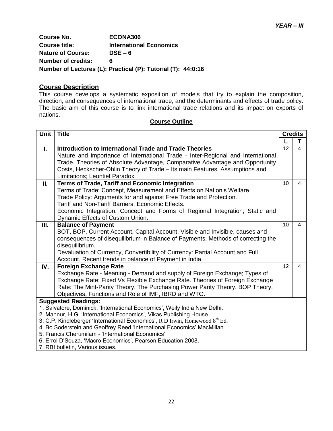**Course No. ECONA306 Course title: International Economics Nature of Course: DSE – 6 Number of credits: 6 Number of Lectures (L): Practical (P): Tutorial (T): 44:0:16**

#### **Course Description**

This course develops a systematic exposition of models that try to explain the composition, direction, and consequences of international trade, and the determinants and effects of trade policy. The basic aim of this course is to link international trade relations and its impact on exports of nations.

| Unit                                                              | <b>Title</b>                                                                                                                          | <b>Credits</b> |   |
|-------------------------------------------------------------------|---------------------------------------------------------------------------------------------------------------------------------------|----------------|---|
|                                                                   |                                                                                                                                       |                | т |
| L.                                                                | Introduction to International Trade and Trade Theories                                                                                | 12             | 4 |
|                                                                   | Nature and importance of International Trade - Inter-Regional and International                                                       |                |   |
|                                                                   | Trade. Theories of Absolute Advantage, Comparative Advantage and Opportunity                                                          |                |   |
|                                                                   | Costs, Heckscher-Ohlin Theory of Trade - Its main Features, Assumptions and                                                           |                |   |
|                                                                   | Limitations; Leontief Paradox.                                                                                                        |                | 4 |
| П.                                                                | Terms of Trade, Tariff and Economic Integration<br>Terms of Trade: Concept, Measurement and Effects on Nation's Welfare.              | 10             |   |
|                                                                   | Trade Policy: Arguments for and against Free Trade and Protection.                                                                    |                |   |
|                                                                   | Tariff and Non-Tariff Barriers: Economic Effects.                                                                                     |                |   |
|                                                                   | Economic Integration: Concept and Forms of Regional Integration; Static and                                                           |                |   |
|                                                                   | Dynamic Effects of Custom Union.                                                                                                      |                |   |
| Ш.                                                                | <b>Balance of Payment</b>                                                                                                             | 10             | 4 |
|                                                                   | BOT, BOP, Current Account, Capital Account, Visible and Invisible, causes and                                                         |                |   |
|                                                                   | consequences of disequilibrium in Balance of Payments, Methods of correcting the                                                      |                |   |
|                                                                   | disequilibrium.                                                                                                                       |                |   |
|                                                                   | Devaluation of Currency, Convertibility of Currency: Partial Account and Full                                                         |                |   |
|                                                                   | Account. Recent trends in balance of Payment in India.                                                                                |                |   |
| IV.                                                               | <b>Foreign Exchange Rate</b>                                                                                                          | 12             | 4 |
|                                                                   | Exchange Rate - Meaning - Demand and supply of Foreign Exchange; Types of                                                             |                |   |
|                                                                   | Exchange Rate: Fixed Vs Flexible Exchange Rate. Theories of Foreign Exchange                                                          |                |   |
|                                                                   | Rate: The Mint-Parity Theory, The Purchasing Power Parity Theory, BOP Theory.<br>Objectives, Functions and Role of IMF, IBRD and WTO. |                |   |
|                                                                   | <b>Suggested Readings:</b>                                                                                                            |                |   |
|                                                                   | 1. Salvatore, Dominick, 'International Economics', Weily India New Delhi.                                                             |                |   |
| 2. Mannur, H.G. 'International Economics', Vikas Publishing House |                                                                                                                                       |                |   |
|                                                                   | 3. C.P. Kindleberger 'International Economics', R D Irwin, Homewood $8th$ Ed.                                                         |                |   |
|                                                                   | 4. Bo Soderstein and Geoffrey Reed 'International Economics' MacMillan.                                                               |                |   |
|                                                                   | 5. Francis Cherumilam - 'International Economics'                                                                                     |                |   |
| 6. Errol D'Souza, 'Macro Economics', Pearson Education 2008.      |                                                                                                                                       |                |   |
|                                                                   | 7. RBI bulletin, Various issues.                                                                                                      |                |   |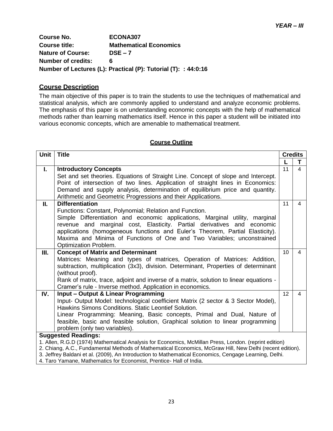**Course No. ECONA307 Course title: Mathematical Economics Nature of Course: DSE – 7 Number of credits: 6 Number of Lectures (L): Practical (P): Tutorial (T): : 44:0:16**

### **Course Description**

The main objective of this paper is to train the students to use the techniques of mathematical and statistical analysis, which are commonly applied to understand and analyze economic problems. The emphasis of this paper is on understanding economic concepts with the help of mathematical methods rather than learning mathematics itself. Hence in this paper a student will be initiated into various economic concepts, which are amenable to mathematical treatment.

| Unit | <b>Title</b>                                                                                                                                                                                                      |                 | <b>Credits</b> |  |
|------|-------------------------------------------------------------------------------------------------------------------------------------------------------------------------------------------------------------------|-----------------|----------------|--|
|      |                                                                                                                                                                                                                   | $\mathbf{L}$    | т              |  |
| L.   | <b>Introductory Concepts</b>                                                                                                                                                                                      | 11              | 4              |  |
|      | Set and set theories. Equations of Straight Line. Concept of slope and Intercept.                                                                                                                                 |                 |                |  |
|      | Point of intersection of two lines. Application of straight lines in Economics:                                                                                                                                   |                 |                |  |
|      | Demand and supply analysis, determination of equilibrium price and quantity.                                                                                                                                      |                 |                |  |
|      | Arithmetic and Geometric Progressions and their Applications.                                                                                                                                                     |                 |                |  |
| Ш.   | <b>Differentiation</b>                                                                                                                                                                                            | 11              | 4              |  |
|      | Functions: Constant, Polynomial; Relation and Function.                                                                                                                                                           |                 |                |  |
|      | Simple Differentiation and economic applications, Marginal utility, marginal                                                                                                                                      |                 |                |  |
|      | revenue and marginal cost, Elasticity. Partial derivatives and economic                                                                                                                                           |                 |                |  |
|      | applications (homogeneous functions and Euler's Theorem, Partial Elasticity).                                                                                                                                     |                 |                |  |
|      | Maxima and Minima of Functions of One and Two Variables; unconstrained                                                                                                                                            |                 |                |  |
|      | Optimization Problem.                                                                                                                                                                                             |                 |                |  |
| Ш.   | <b>Concept of Matrix and Determinant</b>                                                                                                                                                                          | 10 <sup>1</sup> | 4              |  |
|      | Matrices: Meaning and types of matrices, Operation of Matrices: Addition,                                                                                                                                         |                 |                |  |
|      | subtraction, multiplication (3x3), division. Determinant, Properties of determinant                                                                                                                               |                 |                |  |
|      | (without proof).                                                                                                                                                                                                  |                 |                |  |
|      | Rank of matrix, trace, adjoint and inverse of a matrix, solution to linear equations -                                                                                                                            |                 |                |  |
|      | Cramer's rule - Inverse method. Application in economics.                                                                                                                                                         |                 |                |  |
| IV.  | Input - Output & Linear Programming                                                                                                                                                                               | 12              | 4              |  |
|      | Input- Output Model: technological coefficient Matrix (2 sector & 3 Sector Model),                                                                                                                                |                 |                |  |
|      | Hawkins Simons Conditions. Static Leontief Solution.                                                                                                                                                              |                 |                |  |
|      | Linear Programming: Meaning, Basic concepts, Primal and Dual, Nature of                                                                                                                                           |                 |                |  |
|      | feasible, basic and feasible solution, Graphical solution to linear programming                                                                                                                                   |                 |                |  |
|      | problem (only two variables).                                                                                                                                                                                     |                 |                |  |
|      | <b>Suggested Readings:</b>                                                                                                                                                                                        |                 |                |  |
|      | 1. Allen, R.G.D (1974) Mathematical Analysis for Economics, McMillan Press, London. (reprint edition)<br>2. Chiang, A.C., Fundamental Methods of Mathematical Economics, McGraw Hill, New Delhi (recent edition). |                 |                |  |
|      | 3. Jeffrey Baldani et al. (2009), An Introduction to Mathematical Economics, Cengage Learning, Delhi.                                                                                                             |                 |                |  |
|      |                                                                                                                                                                                                                   |                 |                |  |
|      | 4. Taro Yamane, Mathematics for Economist, Prentice- Hall of India.                                                                                                                                               |                 |                |  |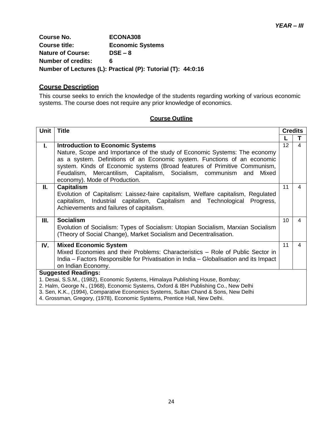**Course No. ECONA308 Course title: Economic Systems Nature of Course: DSE – 8 Number of credits: 6 Number of Lectures (L): Practical (P): Tutorial (T): 44:0:16**

### **Course Description**

This course seeks to enrich the knowledge of the students regarding working of various economic systems. The course does not require any prior knowledge of economics.

| Unit                                                                                                         | <b>Title</b>                                                                                                                                                                                                                        | <b>Credits</b> |   |
|--------------------------------------------------------------------------------------------------------------|-------------------------------------------------------------------------------------------------------------------------------------------------------------------------------------------------------------------------------------|----------------|---|
|                                                                                                              |                                                                                                                                                                                                                                     |                | T |
| L.                                                                                                           | <b>Introduction to Economic Systems</b>                                                                                                                                                                                             | 12             | 4 |
|                                                                                                              | Nature, Scope and Importance of the study of Economic Systems: The economy<br>as a system. Definitions of an Economic system. Functions of an economic<br>system. Kinds of Economic systems (Broad features of Primitive Communism, |                |   |
|                                                                                                              | Feudalism, Mercantilism, Capitalism, Socialism, communism and<br>Mixed<br>economy). Mode of Production.                                                                                                                             |                |   |
| П.                                                                                                           | <b>Capitalism</b><br>Evolution of Capitalism: Laissez-faire capitalism, Welfare capitalism, Regulated<br>capitalism, Industrial capitalism, Capitalism and Technological<br>Progress,<br>Achievements and failures of capitalism.   | 11             | 4 |
| Ш.                                                                                                           | <b>Socialism</b><br>Evolution of Socialism: Types of Socialism: Utopian Socialism, Marxian Socialism<br>(Theory of Social Change), Market Socialism and Decentralisation.                                                           | 10             | 4 |
| IV.                                                                                                          | <b>Mixed Economic System</b>                                                                                                                                                                                                        | 11             | 4 |
|                                                                                                              | Mixed Economies and their Problems: Characteristics - Role of Public Sector in                                                                                                                                                      |                |   |
|                                                                                                              | India – Factors Responsible for Privatisation in India – Globalisation and its Impact                                                                                                                                               |                |   |
|                                                                                                              | on Indian Economy.                                                                                                                                                                                                                  |                |   |
| <b>Suggested Readings:</b><br>1. Desai, S.S.M., (1982), Economic Systems, Himalaya Publishing House, Bombay; |                                                                                                                                                                                                                                     |                |   |
| 2. Halm, George N., (1968), Economic Systems, Oxford & IBH Publishing Co., New Delhi                         |                                                                                                                                                                                                                                     |                |   |
| 3. Sen, K.K., (1994), Comparative Economics Systems, Sultan Chand & Sons, New Delhi                          |                                                                                                                                                                                                                                     |                |   |
| 4. Grossman, Gregory, (1978), Economic Systems, Prentice Hall, New Delhi.                                    |                                                                                                                                                                                                                                     |                |   |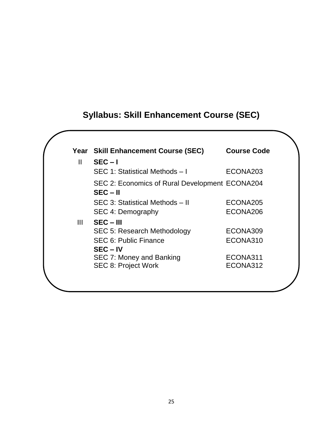# **Syllabus: Skill Enhancement Course (SEC)**

|              | Year Skill Enhancement Course (SEC)            | <b>Course Code</b> |
|--------------|------------------------------------------------|--------------------|
| $\mathbf{H}$ | $SEC - I$                                      |                    |
|              | SEC 1: Statistical Methods - I                 | ECONA203           |
|              | SEC 2: Economics of Rural Development ECONA204 |                    |
|              | $SEC - II$                                     |                    |
|              | SEC 3: Statistical Methods - II                | ECONA205           |
|              | SEC 4: Demography                              | ECONA206           |
| Ш            | $SEC - III$                                    |                    |
|              | <b>SEC 5: Research Methodology</b>             | ECONA309           |
|              | <b>SEC 6: Public Finance</b>                   | ECONA310           |
|              | $SEC - IV$                                     |                    |
|              | SEC 7: Money and Banking                       | ECONA311           |
|              | <b>SEC 8: Project Work</b>                     | ECONA312           |
|              |                                                |                    |
|              |                                                |                    |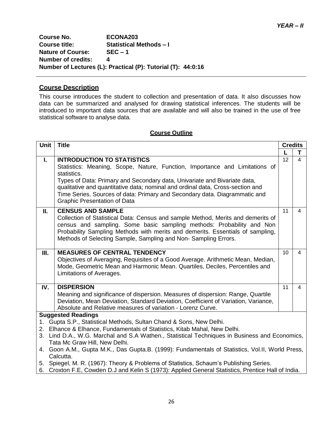**Course No. ECONA203 Course title: Statistical Methods – I Nature of Course: SEC – 1 Number of credits: 4 Number of Lectures (L): Practical (P): Tutorial (T): 44:0:16**

### **Course Description**

This course introduces the student to collection and presentation of data. It also discusses how data can be summarized and analysed for drawing statistical inferences. The students will be introduced to important data sources that are available and will also be trained in the use of free statistical software to analyse data.

#### **Course Outline**

| Unit                                                                                                                                                                                                                                                                                                                                                                                                  | <b>Title</b>                                                                                                                                                                                                                                                                                                                                                                                                        |                 | <b>Credits</b> |  |
|-------------------------------------------------------------------------------------------------------------------------------------------------------------------------------------------------------------------------------------------------------------------------------------------------------------------------------------------------------------------------------------------------------|---------------------------------------------------------------------------------------------------------------------------------------------------------------------------------------------------------------------------------------------------------------------------------------------------------------------------------------------------------------------------------------------------------------------|-----------------|----------------|--|
|                                                                                                                                                                                                                                                                                                                                                                                                       |                                                                                                                                                                                                                                                                                                                                                                                                                     |                 | T              |  |
| L.                                                                                                                                                                                                                                                                                                                                                                                                    | <b>INTRODUCTION TO STATISTICS</b><br>Statistics: Meaning, Scope, Nature, Function, Importance and Limitations of<br>statistics.<br>Types of Data: Primary and Secondary data, Univariate and Bivariate data,<br>qualitative and quantitative data; nominal and ordinal data, Cross-section and<br>Time Series. Sources of data: Primary and Secondary data. Diagrammatic and<br><b>Graphic Presentation of Data</b> | 12              | 4              |  |
| Ш.                                                                                                                                                                                                                                                                                                                                                                                                    | <b>CENSUS AND SAMPLE</b><br>Collection of Statistical Data: Census and sample Method, Merits and demerits of<br>census and sampling. Some basic sampling methods: Probability and Non<br>Probability Sampling Methods with merits and demerits. Essentials of sampling,<br>Methods of Selecting Sample, Sampling and Non-Sampling Errors.                                                                           | 11              | 4              |  |
| III.                                                                                                                                                                                                                                                                                                                                                                                                  | <b>MEASURES OF CENTRAL TENDENCY</b><br>Objectives of Averaging, Requisites of a Good Average. Arithmetic Mean, Median,<br>Mode, Geometric Mean and Harmonic Mean. Quartiles, Deciles, Percentiles and<br>Limitations of Averages.                                                                                                                                                                                   | 10 <sup>1</sup> | $\overline{4}$ |  |
| IV.                                                                                                                                                                                                                                                                                                                                                                                                   | <b>DISPERSION</b><br>11<br>Meaning and significance of dispersion. Measures of dispersion: Range, Quartile<br>Deviation, Mean Deviation, Standard Deviation, Coefficient of Variation, Variance,<br>Absolute and Relative measures of variation - Lorenz Curve.                                                                                                                                                     |                 | 4              |  |
|                                                                                                                                                                                                                                                                                                                                                                                                       | <b>Suggested Readings</b>                                                                                                                                                                                                                                                                                                                                                                                           |                 |                |  |
| 1. Gupta S.P., Statistical Methods, Sultan Chand & Sons, New Delhi.<br>Elhance & Elhance, Fundamentals of Statistics, Kitab Mahal, New Delhi.<br>2.<br>3. Lind D.A., W.G. Marchal and S.A Wathen., Statistical Techniques in Business and Economics,<br>Tata Mc Graw Hill, New Delhi.<br>4. Goon A.M., Gupta M.K., Das Gupta.B. (1999): Fundamentals of Statistics, Vol.II, World Press,<br>Calcutta. |                                                                                                                                                                                                                                                                                                                                                                                                                     |                 |                |  |
|                                                                                                                                                                                                                                                                                                                                                                                                       | D (400 TH OD II COULD' OI ID IT IT                                                                                                                                                                                                                                                                                                                                                                                  |                 |                |  |

5. Spiegel, M. R. (1967): Theory & Problems of Statistics, Schaum"s Publishing Series.

6. Croxton F.E, Cowden D.J and Kelin S (1973): Applied General Statistics, Prentice Hall of India.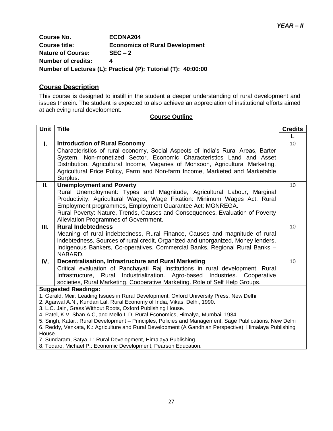**Course No. ECONA204 Course title: Economics of Rural Development Nature of Course: SEC – 2 Number of credits: 4 Number of Lectures (L): Practical (P): Tutorial (T): 40:00:00**

### **Course Description**

This course is designed to instill in the student a deeper understanding of rural development and issues therein. The student is expected to also achieve an appreciation of institutional efforts aimed at achieving rural development.

| <b>Unit</b>                                                                                                                                                          | <b>Title</b>                                                                                                                           | <b>Credits</b> |  |
|----------------------------------------------------------------------------------------------------------------------------------------------------------------------|----------------------------------------------------------------------------------------------------------------------------------------|----------------|--|
|                                                                                                                                                                      |                                                                                                                                        |                |  |
| $\mathbf{L}$                                                                                                                                                         | <b>Introduction of Rural Economy</b>                                                                                                   | 10             |  |
|                                                                                                                                                                      | Characteristics of rural economy, Social Aspects of India's Rural Areas, Barter                                                        |                |  |
|                                                                                                                                                                      | System, Non-monetized Sector, Economic Characteristics Land and Asset                                                                  |                |  |
|                                                                                                                                                                      | Distribution. Agricultural Income, Vagaries of Monsoon, Agricultural Marketing,                                                        |                |  |
|                                                                                                                                                                      | Agricultural Price Policy, Farm and Non-farm Income, Marketed and Marketable                                                           |                |  |
|                                                                                                                                                                      | Surplus.                                                                                                                               |                |  |
| П.                                                                                                                                                                   | <b>Unemployment and Poverty</b>                                                                                                        | 10             |  |
|                                                                                                                                                                      | Rural Unemployment: Types and Magnitude, Agricultural Labour, Marginal                                                                 |                |  |
|                                                                                                                                                                      | Productivity. Agricultural Wages, Wage Fixation: Minimum Wages Act. Rural<br>Employment programmes, Employment Guarantee Act: MGNREGA. |                |  |
|                                                                                                                                                                      | Rural Poverty: Nature, Trends, Causes and Consequences. Evaluation of Poverty                                                          |                |  |
|                                                                                                                                                                      | Alleviation Programmes of Government.                                                                                                  |                |  |
| III.                                                                                                                                                                 | <b>Rural Indebtedness</b>                                                                                                              | 10             |  |
|                                                                                                                                                                      | Meaning of rural indebtedness, Rural Finance, Causes and magnitude of rural                                                            |                |  |
|                                                                                                                                                                      | indebtedness, Sources of rural credit, Organized and unorganized, Money lenders,                                                       |                |  |
|                                                                                                                                                                      | Indigenous Bankers, Co-operatives, Commercial Banks, Regional Rural Banks -                                                            |                |  |
|                                                                                                                                                                      | NABARD.                                                                                                                                |                |  |
| IV.                                                                                                                                                                  | Decentralisation, Infrastructure and Rural Marketing                                                                                   | 10             |  |
|                                                                                                                                                                      | Critical evaluation of Panchayati Raj Institutions in rural development. Rural                                                         |                |  |
|                                                                                                                                                                      | Infrastructure, Rural<br>Industrialization. Agro-based<br>Industries. Cooperative                                                      |                |  |
|                                                                                                                                                                      | societies, Rural Marketing. Cooperative Marketing. Role of Self Help Groups.                                                           |                |  |
| <b>Suggested Readings:</b>                                                                                                                                           |                                                                                                                                        |                |  |
| 1. Gerald, Meir: Leading Issues in Rural Development, Oxford University Press, New Delhi<br>2. Agarwal A.N., Kundan Lal, Rural Economy of India, Vikas, Delhi, 1990. |                                                                                                                                        |                |  |
| 3. L.C. Jain, Grass Without Roots, Oxford Publishing House.                                                                                                          |                                                                                                                                        |                |  |
| 4. Patel, K.V, Shan A.C, and Mello L.D, Rural Economics, Himalya, Mumbai, 1984.                                                                                      |                                                                                                                                        |                |  |
| 5. Singh, Katar.: Rural Development - Principles, Policies and Management, Sage Publications. New Delhi                                                              |                                                                                                                                        |                |  |
| 6. Reddy, Venkata, K.: Agriculture and Rural Development (A Gandhian Perspective), Himalaya Publishing                                                               |                                                                                                                                        |                |  |
| House.<br>7. Sundaram, Satya, I.: Rural Development, Himalaya Publishing                                                                                             |                                                                                                                                        |                |  |
|                                                                                                                                                                      | 8. Todaro, Michael P.: Economic Development, Pearson Education.                                                                        |                |  |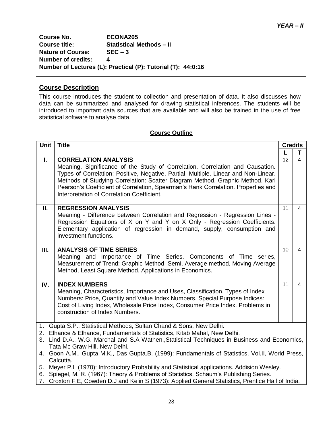**Course No. ECONA205 Course title: Statistical Methods – II Nature of Course: SEC – 3 Number of credits: 4 Number of Lectures (L): Practical (P): Tutorial (T): 44:0:16**

# **Course Description**

This course introduces the student to collection and presentation of data. It also discusses how data can be summarized and analysed for drawing statistical inferences. The students will be introduced to important data sources that are available and will also be trained in the use of free statistical software to analyse data.

#### **Course Outline**

| Unit                                                                                                                                                                                                                                                                                                                                                                                                                                                                                               | <b>Title</b>                                                                                                                                                                                                                                                                                                                                                                                                            |                 | <b>Credits</b> |  |
|----------------------------------------------------------------------------------------------------------------------------------------------------------------------------------------------------------------------------------------------------------------------------------------------------------------------------------------------------------------------------------------------------------------------------------------------------------------------------------------------------|-------------------------------------------------------------------------------------------------------------------------------------------------------------------------------------------------------------------------------------------------------------------------------------------------------------------------------------------------------------------------------------------------------------------------|-----------------|----------------|--|
|                                                                                                                                                                                                                                                                                                                                                                                                                                                                                                    |                                                                                                                                                                                                                                                                                                                                                                                                                         |                 | T.             |  |
| L.                                                                                                                                                                                                                                                                                                                                                                                                                                                                                                 | <b>CORRELATION ANALYSIS</b><br>Meaning, Significance of the Study of Correlation. Correlation and Causation.<br>Types of Correlation: Positive, Negative, Partial, Multiple, Linear and Non-Linear.<br>Methods of Studying Correlation: Scatter Diagram Method, Graphic Method, Karl<br>Pearson's Coefficient of Correlation, Spearman's Rank Correlation. Properties and<br>Interpretation of Correlation Coefficient. | 12              | $\overline{4}$ |  |
| П.                                                                                                                                                                                                                                                                                                                                                                                                                                                                                                 | <b>REGRESSION ANALYSIS</b><br>Meaning - Difference between Correlation and Regression - Regression Lines -<br>Regression Equations of X on Y and Y on X Only - Regression Coefficients.<br>Elementary application of regression in demand, supply, consumption and<br>investment functions.                                                                                                                             | 11              | $\overline{4}$ |  |
| III.                                                                                                                                                                                                                                                                                                                                                                                                                                                                                               | <b>ANALYSIS OF TIME SERIES</b><br>Meaning and Importance of Time Series. Components of Time series,<br>Measurement of Trend: Graphic Method, Semi, Average method, Moving Average<br>Method, Least Square Method. Applications in Economics.                                                                                                                                                                            | 10 <sup>1</sup> | $\overline{4}$ |  |
| IV.                                                                                                                                                                                                                                                                                                                                                                                                                                                                                                | <b>INDEX NUMBERS</b><br>Meaning, Characteristics, Importance and Uses, Classification. Types of Index<br>Numbers: Price, Quantity and Value Index Numbers. Special Purpose Indices:<br>Cost of Living Index, Wholesale Price Index, Consumer Price Index. Problems in<br>construction of Index Numbers.                                                                                                                 | 11              | $\overline{4}$ |  |
| 1. Gupta S.P., Statistical Methods, Sultan Chand & Sons, New Delhi.<br>2. Elhance & Elhance, Fundamentals of Statistics, Kitab Mahal, New Delhi.<br>3. Lind D.A., W.G. Marchal and S.A Wathen., Statistical Techniques in Business and Economics,<br>Tata Mc Graw Hill, New Delhi.<br>4. Goon A.M., Gupta M.K., Das Gupta.B. (1999): Fundamentals of Statistics, Vol.II, World Press,<br>Calcutta.<br>5. Meyer P.L (1970): Introductory Probability and Statistical applications. Addision Wesley. |                                                                                                                                                                                                                                                                                                                                                                                                                         |                 |                |  |
|                                                                                                                                                                                                                                                                                                                                                                                                                                                                                                    | 6. Spiegel, M. R. (1967): Theory & Problems of Statistics, Schaum's Publishing Series.<br>$\overline{z}$ . Our density $\overline{z}$ to control the field of $(4070)$ , Angled Our and Obeleder . Departure that of both                                                                                                                                                                                               |                 |                |  |

7. Croxton F.E, Cowden D.J and Kelin S (1973): Applied General Statistics, Prentice Hall of India.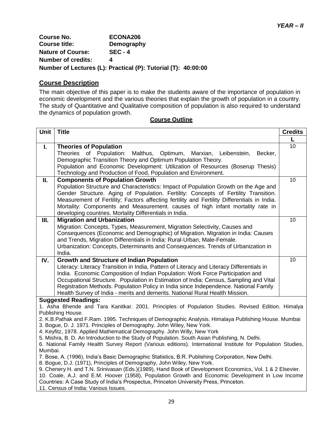*YEAR – II*

**Course No. ECONA206 Demography Nature of Course: SEC - 4 Number of credits: 4**

**Number of Lectures (L): Practical (P): Tutorial (T): 40:00:00**

## **Course Description**

The main objective of this paper is to make the students aware of the importance of population in economic development and the various theories that explain the growth of population in a country. The study of Quantitative and Qualitative composition of population is also required to understand the dynamics of population growth.

| 10<br><b>Theories of Population</b><br>L.<br>Theories of Population:<br>Malthus,<br>Becker,<br>Optimum, Marxian, Leibenstein,<br>Demographic Transition Theory and Optimum Population Theory.<br>Population and Economic Development: Utilization of Resources (Boserup Thesis)<br>Technology and Production of Food, Population and Environment.<br>10<br><b>Components of Population Growth</b><br>П.<br>Population Structure and Characteristics: Impact of Population Growth on the Age and<br>Gender Structure. Aging of Population. Fertility: Concepts of Fertility Transition.<br>Measurement of Fertility; Factors affecting fertility and Fertility Differentials in India.<br>Mortality: Components and Measurement. causes of high infant mortality rate in<br>developing countries. Mortality Differentials in India.<br>10<br>III.<br><b>Migration and Urbanization</b><br>Migration: Concepts, Types, Measurement, Migration Selectivity, Causes and<br>Consequences (Economic and Demographic) of Migration. Migration in India: Causes |  |  |
|---------------------------------------------------------------------------------------------------------------------------------------------------------------------------------------------------------------------------------------------------------------------------------------------------------------------------------------------------------------------------------------------------------------------------------------------------------------------------------------------------------------------------------------------------------------------------------------------------------------------------------------------------------------------------------------------------------------------------------------------------------------------------------------------------------------------------------------------------------------------------------------------------------------------------------------------------------------------------------------------------------------------------------------------------------|--|--|
|                                                                                                                                                                                                                                                                                                                                                                                                                                                                                                                                                                                                                                                                                                                                                                                                                                                                                                                                                                                                                                                         |  |  |
|                                                                                                                                                                                                                                                                                                                                                                                                                                                                                                                                                                                                                                                                                                                                                                                                                                                                                                                                                                                                                                                         |  |  |
|                                                                                                                                                                                                                                                                                                                                                                                                                                                                                                                                                                                                                                                                                                                                                                                                                                                                                                                                                                                                                                                         |  |  |
|                                                                                                                                                                                                                                                                                                                                                                                                                                                                                                                                                                                                                                                                                                                                                                                                                                                                                                                                                                                                                                                         |  |  |
|                                                                                                                                                                                                                                                                                                                                                                                                                                                                                                                                                                                                                                                                                                                                                                                                                                                                                                                                                                                                                                                         |  |  |
|                                                                                                                                                                                                                                                                                                                                                                                                                                                                                                                                                                                                                                                                                                                                                                                                                                                                                                                                                                                                                                                         |  |  |
|                                                                                                                                                                                                                                                                                                                                                                                                                                                                                                                                                                                                                                                                                                                                                                                                                                                                                                                                                                                                                                                         |  |  |
|                                                                                                                                                                                                                                                                                                                                                                                                                                                                                                                                                                                                                                                                                                                                                                                                                                                                                                                                                                                                                                                         |  |  |
|                                                                                                                                                                                                                                                                                                                                                                                                                                                                                                                                                                                                                                                                                                                                                                                                                                                                                                                                                                                                                                                         |  |  |
|                                                                                                                                                                                                                                                                                                                                                                                                                                                                                                                                                                                                                                                                                                                                                                                                                                                                                                                                                                                                                                                         |  |  |
|                                                                                                                                                                                                                                                                                                                                                                                                                                                                                                                                                                                                                                                                                                                                                                                                                                                                                                                                                                                                                                                         |  |  |
|                                                                                                                                                                                                                                                                                                                                                                                                                                                                                                                                                                                                                                                                                                                                                                                                                                                                                                                                                                                                                                                         |  |  |
|                                                                                                                                                                                                                                                                                                                                                                                                                                                                                                                                                                                                                                                                                                                                                                                                                                                                                                                                                                                                                                                         |  |  |
|                                                                                                                                                                                                                                                                                                                                                                                                                                                                                                                                                                                                                                                                                                                                                                                                                                                                                                                                                                                                                                                         |  |  |
| and Trends, Migration Differentials in India: Rural-Urban, Male-Female.                                                                                                                                                                                                                                                                                                                                                                                                                                                                                                                                                                                                                                                                                                                                                                                                                                                                                                                                                                                 |  |  |
| Urbanization: Concepts, Determinants and Consequences. Trends of Urbanization in<br>India.                                                                                                                                                                                                                                                                                                                                                                                                                                                                                                                                                                                                                                                                                                                                                                                                                                                                                                                                                              |  |  |
| 10<br><b>Growth and Structure of Indian Population</b><br>IV.                                                                                                                                                                                                                                                                                                                                                                                                                                                                                                                                                                                                                                                                                                                                                                                                                                                                                                                                                                                           |  |  |
| Literacy: Literacy Transition in India, Pattern of Literacy and Literacy Differentials in                                                                                                                                                                                                                                                                                                                                                                                                                                                                                                                                                                                                                                                                                                                                                                                                                                                                                                                                                               |  |  |
| India. Economic Composition of Indian Population: Work Force Participation and                                                                                                                                                                                                                                                                                                                                                                                                                                                                                                                                                                                                                                                                                                                                                                                                                                                                                                                                                                          |  |  |
| Occupational Structure. Population in Estimation of India: Census, Sampling and Vital                                                                                                                                                                                                                                                                                                                                                                                                                                                                                                                                                                                                                                                                                                                                                                                                                                                                                                                                                                   |  |  |
| Registration Methods. Population Policy in India since Independence. National Family                                                                                                                                                                                                                                                                                                                                                                                                                                                                                                                                                                                                                                                                                                                                                                                                                                                                                                                                                                    |  |  |
| Health Survey of India - merits and demerits. National Rural Health Mission.                                                                                                                                                                                                                                                                                                                                                                                                                                                                                                                                                                                                                                                                                                                                                                                                                                                                                                                                                                            |  |  |
| <b>Suggested Readings:</b>                                                                                                                                                                                                                                                                                                                                                                                                                                                                                                                                                                                                                                                                                                                                                                                                                                                                                                                                                                                                                              |  |  |
| 1. Asha Bhende and Tara Kanitkar. 2001. Principles of Population Studies. Revised Edition. Himalya                                                                                                                                                                                                                                                                                                                                                                                                                                                                                                                                                                                                                                                                                                                                                                                                                                                                                                                                                      |  |  |
| Publishing House.                                                                                                                                                                                                                                                                                                                                                                                                                                                                                                                                                                                                                                                                                                                                                                                                                                                                                                                                                                                                                                       |  |  |
| 2. K.B.Pathak and F.Ram. 1995. Techniques of Demographic Analysis. Himalaya Publishing House. Mumbai<br>3. Bogue, D. J. 1971. Principles of Demography. John Wiley, New York.                                                                                                                                                                                                                                                                                                                                                                                                                                                                                                                                                                                                                                                                                                                                                                                                                                                                           |  |  |
| 4. Keyfitz, 1978. Applied Mathematical Demography. John Willy, New York                                                                                                                                                                                                                                                                                                                                                                                                                                                                                                                                                                                                                                                                                                                                                                                                                                                                                                                                                                                 |  |  |
| 5. Mishra, B. D. An Introduction to the Study of Population. South Asian Publishing, N. Delhi.                                                                                                                                                                                                                                                                                                                                                                                                                                                                                                                                                                                                                                                                                                                                                                                                                                                                                                                                                          |  |  |
| 6. National Family Health Survey Report (Various editions). International Institute for Population Studies,                                                                                                                                                                                                                                                                                                                                                                                                                                                                                                                                                                                                                                                                                                                                                                                                                                                                                                                                             |  |  |
| Mumbai.                                                                                                                                                                                                                                                                                                                                                                                                                                                                                                                                                                                                                                                                                                                                                                                                                                                                                                                                                                                                                                                 |  |  |
| 7. Bose, A. (1996), India's Basic Demographic Statistics, B.R. Publishing Corporation, New Delhi.                                                                                                                                                                                                                                                                                                                                                                                                                                                                                                                                                                                                                                                                                                                                                                                                                                                                                                                                                       |  |  |
| 8. Bogue, D.J. (1971), Principles of Demography, John Wiley, New York.                                                                                                                                                                                                                                                                                                                                                                                                                                                                                                                                                                                                                                                                                                                                                                                                                                                                                                                                                                                  |  |  |
| 9. Chenery H. and T.N. Srinivasan (Eds.)(1989), Hand Book of Development Economics, Vol. 1 & 2 Elsevier.                                                                                                                                                                                                                                                                                                                                                                                                                                                                                                                                                                                                                                                                                                                                                                                                                                                                                                                                                |  |  |
| 10. Coale, A.J. and E.M. Hoover (1958), Population Growth and Economic Development in Low Income<br>Countries: A Case Study of India's Prospectus, Princeton University Press, Princeton.                                                                                                                                                                                                                                                                                                                                                                                                                                                                                                                                                                                                                                                                                                                                                                                                                                                               |  |  |
| 11. Census of India: Various Issues.                                                                                                                                                                                                                                                                                                                                                                                                                                                                                                                                                                                                                                                                                                                                                                                                                                                                                                                                                                                                                    |  |  |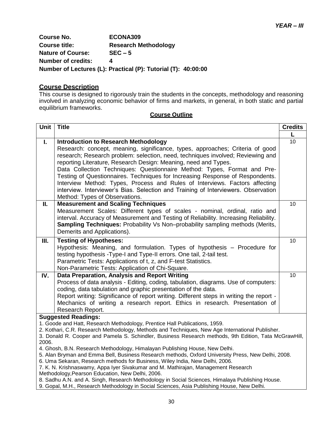**Course No. ECONA309 Course title: Research Methodology Nature of Course: SEC – 5 Number of credits: 4 Number of Lectures (L): Practical (P): Tutorial (T): 40:00:00**

#### **Course Description**

This course is designed to rigorously train the students in the concepts, methodology and reasoning involved in analyzing economic behavior of firms and markets, in general, in both static and partial equilibrium frameworks.

| Unit                                                                                               | <b>Title</b>                                                                                                                                                                  | <b>Credits</b> |
|----------------------------------------------------------------------------------------------------|-------------------------------------------------------------------------------------------------------------------------------------------------------------------------------|----------------|
|                                                                                                    |                                                                                                                                                                               | L              |
| I.                                                                                                 | <b>Introduction to Research Methodology</b>                                                                                                                                   | 10             |
|                                                                                                    | Research: concept, meaning, significance, types, approaches; Criteria of good                                                                                                 |                |
|                                                                                                    | research; Research problem: selection, need, techniques involved; Reviewing and                                                                                               |                |
|                                                                                                    | reporting Literature, Research Design: Meaning, need and Types.                                                                                                               |                |
|                                                                                                    | Data Collection Techniques: Questionnaire Method: Types, Format and Pre-                                                                                                      |                |
|                                                                                                    | Testing of Questionnaires. Techniques for Increasing Response of Respondents.                                                                                                 |                |
|                                                                                                    | Interview Method: Types, Process and Rules of Interviews. Factors affecting                                                                                                   |                |
|                                                                                                    | interview. Interviewer's Bias. Selection and Training of Interviewers. Observation                                                                                            |                |
|                                                                                                    | Method: Types of Observations.                                                                                                                                                |                |
| П.                                                                                                 | <b>Measurement and Scaling Techniques</b>                                                                                                                                     | 10             |
|                                                                                                    | Measurement Scales: Different types of scales - nominal, ordinal, ratio and                                                                                                   |                |
|                                                                                                    | interval. Accuracy of Measurement and Testing of Reliability. Increasing Reliability.                                                                                         |                |
|                                                                                                    | <b>Sampling Techniques: Probability Vs Non-probability sampling methods (Merits,</b>                                                                                          |                |
|                                                                                                    | Demerits and Applications).                                                                                                                                                   |                |
| Ш.                                                                                                 | <b>Testing of Hypotheses:</b>                                                                                                                                                 | 10             |
|                                                                                                    | Hypothesis: Meaning, and formulation. Types of hypothesis - Procedure for                                                                                                     |                |
|                                                                                                    | testing hypothesis -Type-I and Type-II errors. One tail, 2-tail test.                                                                                                         |                |
|                                                                                                    | Parametric Tests: Applications of t, z, and F-test Statistics.                                                                                                                |                |
|                                                                                                    | Non-Parametric Tests: Application of Chi-Square.                                                                                                                              |                |
| IV.                                                                                                | Data Preparation, Analysis and Report Writing                                                                                                                                 | 10             |
|                                                                                                    | Process of data analysis - Editing, coding, tabulation, diagrams. Use of computers:                                                                                           |                |
|                                                                                                    | coding, data tabulation and graphic presentation of the data.                                                                                                                 |                |
|                                                                                                    | Report writing: Significance of report writing. Different steps in writing the report -                                                                                       |                |
|                                                                                                    | Mechanics of writing a research report. Ethics in research. Presentation of                                                                                                   |                |
|                                                                                                    | Research Report.                                                                                                                                                              |                |
| <b>Suggested Readings:</b>                                                                         |                                                                                                                                                                               |                |
|                                                                                                    | 1. Goode and Hatt, Research Methodology, Prentice Hall Publications, 1959.<br>2. Kothari, C.R. Research Methodology, Methods and Techniques, New Age International Publisher. |                |
|                                                                                                    | 3. Donald R. Cooper and Pamela S. Schindler, Business Research methods, 9th Edition, Tata McGrawHill,                                                                         |                |
| 2006.                                                                                              |                                                                                                                                                                               |                |
| 4. Ghosh, B.N. Research Methodology, Himalayan Publishing House, New Delhi.                        |                                                                                                                                                                               |                |
| 5. Alan Bryman and Emma Bell, Business Research methods, Oxford University Press, New Delhi, 2008. |                                                                                                                                                                               |                |
| 6. Uma Sekaran, Research methods for Business, Wiley India, New Delhi, 2006.                       |                                                                                                                                                                               |                |
| 7. K. N. Krishnaswamy, Appa Iyer Sivakumar and M. Mathirajan, Management Research                  |                                                                                                                                                                               |                |
| Methodology, Pearson Education, New Delhi, 2006.                                                   |                                                                                                                                                                               |                |
| 8. Sadhu A.N. and A. Singh, Research Methodology in Social Sciences, Himalaya Publishing House.    |                                                                                                                                                                               |                |
| 9. Gopal, M.H., Research Methodology in Social Sciences, Asia Publishing House, New Delhi.         |                                                                                                                                                                               |                |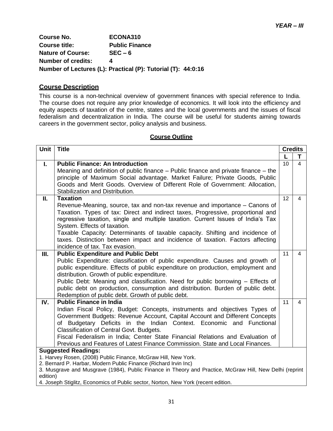**Course No. ECONA310 Course title: Public Finance Nature of Course: SEC – 6 Number of credits: 4 Number of Lectures (L): Practical (P): Tutorial (T): 44:0:16**

#### **Course Description**

This course is a non-technical overview of government finances with special reference to India. The course does not require any prior knowledge of economics. It will look into the efficiency and equity aspects of taxation of the centre, states and the local governments and the issues of fiscal federalism and decentralization in India. The course will be useful for students aiming towards careers in the government sector, policy analysis and business.

#### **Course Outline**

| <b>Unit</b>                | <b>Title</b>                                                                                                                                                        | <b>Credits</b> |                |
|----------------------------|---------------------------------------------------------------------------------------------------------------------------------------------------------------------|----------------|----------------|
|                            |                                                                                                                                                                     |                | т              |
| Ι.                         | <b>Public Finance: An Introduction</b>                                                                                                                              | 10             | $\overline{4}$ |
|                            | Meaning and definition of public finance - Public finance and private finance - the<br>principle of Maximum Social advantage. Market Failure; Private Goods, Public |                |                |
|                            | Goods and Merit Goods. Overview of Different Role of Government: Allocation,                                                                                        |                |                |
|                            | Stabilization and Distribution.                                                                                                                                     |                |                |
| П.                         | <b>Taxation</b>                                                                                                                                                     | 12             | $\overline{4}$ |
|                            | Revenue-Meaning, source, tax and non-tax revenue and importance – Canons of                                                                                         |                |                |
|                            | Taxation. Types of tax: Direct and indirect taxes, Progressive, proportional and                                                                                    |                |                |
|                            | regressive taxation, single and multiple taxation. Current Issues of India's Tax<br>System. Effects of taxation.                                                    |                |                |
|                            | Taxable Capacity: Determinants of taxable capacity. Shifting and incidence of                                                                                       |                |                |
|                            | taxes. Distinction between impact and incidence of taxation. Factors affecting                                                                                      |                |                |
|                            | incidence of tax. Tax evasion.                                                                                                                                      |                |                |
| III.                       | <b>Public Expenditure and Public Debt</b>                                                                                                                           | 11             | 4              |
|                            | Public Expenditure: classification of public expenditure. Causes and growth of                                                                                      |                |                |
|                            | public expenditure. Effects of public expenditure on production, employment and<br>distribution. Growth of public expenditure.                                      |                |                |
|                            | Public Debt: Meaning and classification. Need for public borrowing – Effects of                                                                                     |                |                |
|                            | public debt on production, consumption and distribution. Burden of public debt.                                                                                     |                |                |
|                            | Redemption of public debt. Growth of public debt.                                                                                                                   |                |                |
| IV.                        | <b>Public Finance in India</b>                                                                                                                                      | 11             | $\overline{4}$ |
|                            | Indian Fiscal Policy, Budget: Concepts, instruments and objectives Types of                                                                                         |                |                |
|                            | Government Budgets: Revenue Account, Capital Account and Different Concepts                                                                                         |                |                |
|                            | of Budgetary Deficits in the Indian Context. Economic and Functional<br>Classification of Central Govt. Budgets.                                                    |                |                |
|                            | Fiscal Federalism in India; Center State Financial Relations and Evaluation of                                                                                      |                |                |
|                            | Previous and Features of Latest Finance Commission. State and Local Finances.                                                                                       |                |                |
| <b>Suggested Readings:</b> |                                                                                                                                                                     |                |                |
|                            | 1. Harvey Rosen, (2008) Public Finance, McGraw Hill, New York.                                                                                                      |                |                |
|                            | 2. Bernard P. Harbar, Modern Public Finance (Richard Irvin Inc)                                                                                                     |                |                |
| edition)                   | 3. Musgrave and Musgrave (1984), Public Finance in Theory and Practice, McGraw Hill, New Delhi (reprint                                                             |                |                |
|                            |                                                                                                                                                                     |                |                |

4. Joseph Stiglitz, Economics of Public sector, Norton, New York (recent edition.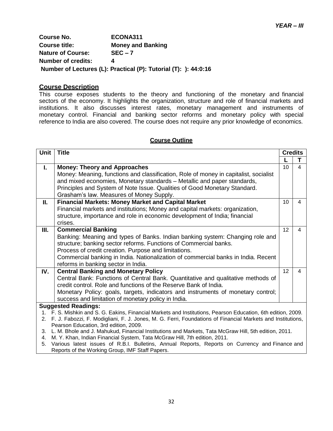| <b>Course No.</b>         | ECONA311                                                        |
|---------------------------|-----------------------------------------------------------------|
| <b>Course title:</b>      | <b>Money and Banking</b>                                        |
| <b>Nature of Course:</b>  | $SEC - 7$                                                       |
| <b>Number of credits:</b> |                                                                 |
|                           | Number of Lectures (L): Practical (P): Tutorial (T): ): 44:0:16 |

# **Course Description**

This course exposes students to the theory and functioning of the monetary and financial sectors of the economy. It highlights the organization, structure and role of financial markets and institutions. It also discusses interest rates, monetary management and instruments of monetary control. Financial and banking sector reforms and monetary policy with special reference to India are also covered. The course does not require any prior knowledge of economics.

| <b>Unit</b>                                                                                                  | <b>Title</b>                                                                                                                                  |                   | <b>Credits</b> |  |
|--------------------------------------------------------------------------------------------------------------|-----------------------------------------------------------------------------------------------------------------------------------------------|-------------------|----------------|--|
|                                                                                                              |                                                                                                                                               |                   | т              |  |
| L.                                                                                                           | <b>Money: Theory and Approaches</b>                                                                                                           | 10                | 4              |  |
|                                                                                                              | Money: Meaning, functions and classification, Role of money in capitalist, socialist                                                          |                   |                |  |
|                                                                                                              | and mixed economies, Monetary standards - Metallic and paper standards,                                                                       |                   |                |  |
|                                                                                                              | Principles and System of Note Issue. Qualities of Good Monetary Standard.                                                                     |                   |                |  |
|                                                                                                              | Grasham's law. Measures of Money Supply.                                                                                                      |                   |                |  |
| Ш.                                                                                                           | <b>Financial Markets: Money Market and Capital Market</b>                                                                                     | 10                | 4              |  |
|                                                                                                              | Financial markets and institutions; Money and capital markets: organization,                                                                  |                   |                |  |
|                                                                                                              | structure, importance and role in economic development of India; financial                                                                    |                   |                |  |
|                                                                                                              | crises.                                                                                                                                       |                   |                |  |
| III.                                                                                                         | <b>Commercial Banking</b>                                                                                                                     | $12 \overline{ }$ | 4              |  |
|                                                                                                              | Banking: Meaning and types of Banks. Indian banking system: Changing role and                                                                 |                   |                |  |
|                                                                                                              | structure; banking sector reforms. Functions of Commercial banks.                                                                             |                   |                |  |
| Process of credit creation. Purpose and limitations.                                                         |                                                                                                                                               |                   |                |  |
|                                                                                                              | Commercial banking in India. Nationalization of commercial banks in India. Recent                                                             |                   |                |  |
|                                                                                                              | reforms in banking sector in India.                                                                                                           |                   |                |  |
| IV.                                                                                                          | <b>Central Banking and Monetary Policy</b>                                                                                                    | 12                | 4              |  |
|                                                                                                              | Central Bank: Functions of Central Bank. Quantitative and qualitative methods of                                                              |                   |                |  |
|                                                                                                              | credit control. Role and functions of the Reserve Bank of India.                                                                              |                   |                |  |
|                                                                                                              | Monetary Policy: goals, targets, indicators and instruments of monetary control;                                                              |                   |                |  |
|                                                                                                              | success and limitation of monetary policy in India.                                                                                           |                   |                |  |
|                                                                                                              | <b>Suggested Readings:</b>                                                                                                                    |                   |                |  |
| 1. F. S. Mishkin and S. G. Eakins, Financial Markets and Institutions, Pearson Education, 6th edition, 2009. |                                                                                                                                               |                   |                |  |
|                                                                                                              | 2. F. J. Fabozzi, F. Modigliani, F. J. Jones, M. G. Ferri, Foundations of Financial Markets and Institutions,                                 |                   |                |  |
| 3.                                                                                                           | Pearson Education, 3rd edition, 2009.<br>L. M. Bhole and J. Mahukud, Financial Institutions and Markets, Tata McGraw Hill, 5th edition, 2011. |                   |                |  |
| 4.                                                                                                           | M. Y. Khan, Indian Financial System, Tata McGraw Hill, 7th edition, 2011.                                                                     |                   |                |  |
| 5.                                                                                                           | Various latest issues of R.B.I. Bulletins, Annual Reports, Reports on Currency and Finance and                                                |                   |                |  |
|                                                                                                              | Reports of the Working Group, IMF Staff Papers.                                                                                               |                   |                |  |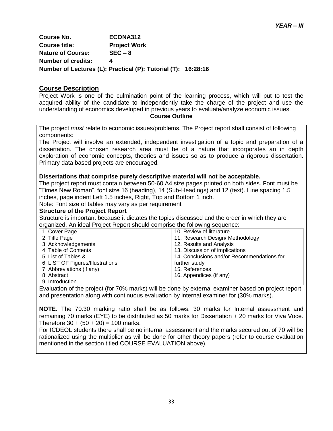**Course No. ECONA312 Course title: Project Work Nature of Course: SEC – 8 Number of credits: 4 Number of Lectures (L): Practical (P): Tutorial (T): 16:28:16**

#### **Course Description**

Project Work is one of the culmination point of the learning process, which will put to test the acquired ability of the candidate to independently take the charge of the project and use the understanding of economics developed in previous years to evaluate/analyze economic issues.

#### **Course Outline**

The project *must* relate to economic issues/problems. The Project report shall consist of following components:

The Project will involve an extended, independent investigation of a topic and preparation of a dissertation. The chosen research area must be of a nature that incorporates an in depth exploration of economic concepts, theories and issues so as to produce a rigorous dissertation. Primary data based projects are encouraged.

#### **Dissertations that comprise purely descriptive material will not be acceptable.**

The project report must contain between 50-60 A4 size pages printed on both sides. Font must be "Times New Roman", font size 16 (heading), 14 (Sub-Headings) and 12 (text). Line spacing 1.5 inches, page indent Left 1.5 inches, Right, Top and Bottom 1 inch.

Note: Font size of tables may vary as per requirement

#### **Structure of the Project Report**

Structure is important because it dictates the topics discussed and the order in which they are organized. An ideal Project Report should comprise the following sequence:

| 1. Cover Page                    | 10. Review of literature                   |
|----------------------------------|--------------------------------------------|
| 2. Title Page                    | 11. Research Design/ Methodology           |
| 3. Acknowledgements              | 12. Results and Analysis                   |
| 4. Table of Contents             | 13. Discussion of implications             |
| 5. List of Tables &              | 14. Conclusions and/or Recommendations for |
| 6. LIST OF Figures/Illustrations | further study                              |
| 7. Abbreviations (if any)        | 15. References                             |
| 8. Abstract                      | 16. Appendices (if any)                    |
| 9. Introduction                  |                                            |

Evaluation of the project (for 70% marks) will be done by external examiner based on project report and presentation along with continuous evaluation by internal examiner for (30% marks).

**NOTE**: The 70:30 marking ratio shall be as follows: 30 marks for Internal assessment and remaining 70 marks (EYE) to be distributed as 50 marks for Dissertation + 20 marks for Viva Voce. Therefore  $30 + (50 + 20) = 100$  marks.

For ICDEOL students there shall be no internal assessment and the marks secured out of 70 will be rationalized using the multiplier as will be done for other theory papers (refer to course evaluation mentioned in the section titled COURSE EVALUATION above).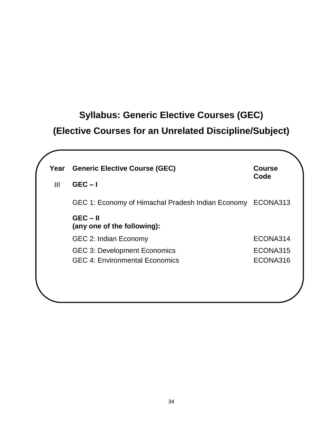# **Syllabus: Generic Elective Courses (GEC) (Elective Courses for an Unrelated Discipline/Subject)**

| Year<br>$\mathbf{III}$ | <b>Generic Elective Course (GEC)</b><br>$GEC - I$          | <b>Course</b><br>Code |
|------------------------|------------------------------------------------------------|-----------------------|
|                        | GEC 1: Economy of Himachal Pradesh Indian Economy ECONA313 |                       |
|                        | $GEC - II$<br>(any one of the following):                  |                       |
|                        | GEC 2: Indian Economy                                      | ECONA314              |
|                        | <b>GEC 3: Development Economics</b>                        | ECONA315              |
|                        | <b>GEC 4: Environmental Economics</b>                      | ECONA316              |
|                        |                                                            |                       |
|                        |                                                            |                       |
|                        |                                                            |                       |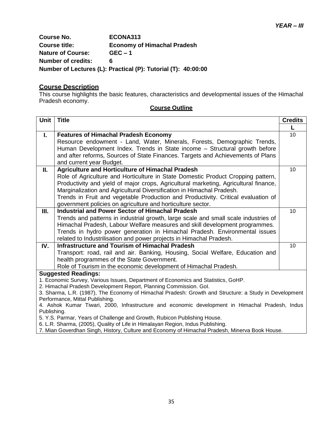**Course No. ECONA313 Course title: Economy of Himachal Pradesh Nature of Course: GEC – 1 Number of credits: 6 Number of Lectures (L): Practical (P): Tutorial (T): 40:00:00**

#### **Course Description**

This course highlights the basic features, characteristics and developmental issues of the Himachal Pradesh economy.

| Unit                                                                                                                                                                       | <b>Title</b>                                                                                                                                                  | <b>Credits</b> |
|----------------------------------------------------------------------------------------------------------------------------------------------------------------------------|---------------------------------------------------------------------------------------------------------------------------------------------------------------|----------------|
|                                                                                                                                                                            |                                                                                                                                                               |                |
| ı.                                                                                                                                                                         | <b>Features of Himachal Pradesh Economy</b>                                                                                                                   | 10             |
|                                                                                                                                                                            | Resource endowment - Land, Water, Minerals, Forests, Demographic Trends,                                                                                      |                |
|                                                                                                                                                                            | Human Development Index. Trends in State income - Structural growth before                                                                                    |                |
|                                                                                                                                                                            | and after reforms, Sources of State Finances. Targets and Achievements of Plans                                                                               |                |
|                                                                                                                                                                            | and current year Budget.                                                                                                                                      |                |
| ΙΙ.                                                                                                                                                                        | <b>Agriculture and Horticulture of Himachal Pradesh</b>                                                                                                       | 10             |
|                                                                                                                                                                            | Role of Agriculture and Horticulture in State Domestic Product Cropping pattern,                                                                              |                |
|                                                                                                                                                                            | Productivity and yield of major crops, Agricultural marketing, Agricultural finance,<br>Marginalization and Agricultural Diversification in Himachal Pradesh. |                |
|                                                                                                                                                                            | Trends in Fruit and vegetable Production and Productivity. Critical evaluation of                                                                             |                |
|                                                                                                                                                                            | government policies on agriculture and horticulture sector.                                                                                                   |                |
| III.                                                                                                                                                                       | <b>Industrial and Power Sector of Himachal Pradesh</b>                                                                                                        | 10             |
|                                                                                                                                                                            | Trends and patterns in industrial growth, large scale and small scale industries of                                                                           |                |
|                                                                                                                                                                            | Himachal Pradesh, Labour Welfare measures and skill development programmes.                                                                                   |                |
|                                                                                                                                                                            | Trends in hydro power generation in Himachal Pradesh. Environmental issues                                                                                    |                |
|                                                                                                                                                                            | related to Industrilisation and power projects in Himachal Pradesh.                                                                                           |                |
| IV.                                                                                                                                                                        | <b>Infrastructure and Tourism of Himachal Pradesh</b>                                                                                                         | 10             |
|                                                                                                                                                                            | Transport: road, rail and air. Banking, Housing, Social Welfare, Education and                                                                                |                |
|                                                                                                                                                                            | health programmes of the State Government.                                                                                                                    |                |
|                                                                                                                                                                            | Role of Tourism in the economic development of Himachal Pradesh.                                                                                              |                |
|                                                                                                                                                                            | <b>Suggested Readings:</b>                                                                                                                                    |                |
| 1. Economic Survey, Various Issues, Department of Economics and Statistics, GoHP.                                                                                          |                                                                                                                                                               |                |
| 2. Himachal Pradesh Development Report, Planning Commission. Gol.<br>3. Sharma, L.R. (1987), The Economy of Himachal Pradesh: Growth and Structure: a Study in Development |                                                                                                                                                               |                |
| Performance, Mittal Publishing.                                                                                                                                            |                                                                                                                                                               |                |
| 4. Ashok Kumar Tiwari, 2000, Infrastructure and economic development in Himachal Pradesh, Indus                                                                            |                                                                                                                                                               |                |
| Publishing.                                                                                                                                                                |                                                                                                                                                               |                |
| 5. Y.S. Parmar, Years of Challenge and Growth, Rubicon Publishing House.                                                                                                   |                                                                                                                                                               |                |
|                                                                                                                                                                            | 6. L.R. Sharma, (2005), Quality of Life in Himalayan Region, Indus Publishing.                                                                                |                |

7. Mian Goverdhan Singh, History, Culture and Economy of Himachal Pradesh, Minerva Book House.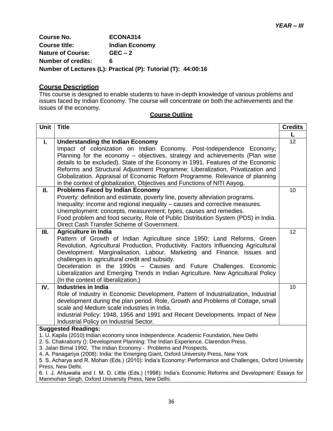**Course No. ECONA314 Course title: Indian Economy Nature of Course: GEC – 2 Number of credits: 6 Number of Lectures (L): Practical (P): Tutorial (T): 44:00:16**

#### **Course Description**

This course is designed to enable students to have in-depth knowledge of various problems and issues faced by Indian Economy. The course will concentrate on both the achievements and the issues of the economy.

| <b>Unit</b>                                                                                              | <b>Title</b>                                                                                                                                           | <b>Credits</b> |  |
|----------------------------------------------------------------------------------------------------------|--------------------------------------------------------------------------------------------------------------------------------------------------------|----------------|--|
|                                                                                                          |                                                                                                                                                        |                |  |
| L.                                                                                                       | <b>Understanding the Indian Economy</b>                                                                                                                | 12             |  |
|                                                                                                          | Impact of colonization on Indian Economy. Post-Independence Economy;                                                                                   |                |  |
|                                                                                                          | Planning for the economy - objectives, strategy and achievements (Plan wise                                                                            |                |  |
|                                                                                                          | details to be excluded). State of the Economy in 1991. Features of the Economic                                                                        |                |  |
|                                                                                                          | Reforms and Structural Adjustment Programme: Liberalization, Privatization and                                                                         |                |  |
|                                                                                                          | Globalization. Appraisal of Economic Reform Programme. Relevance of planning                                                                           |                |  |
|                                                                                                          | in the context of globalization, Objectives and Functions of NITI Aayog.                                                                               |                |  |
| П.                                                                                                       | <b>Problems Faced by Indian Economy</b>                                                                                                                | 10             |  |
|                                                                                                          | Poverty: definition and estimate, poverty line, poverty alleviation programs.                                                                          |                |  |
|                                                                                                          | Inequality: income and regional inequality – causes and corrective measures.                                                                           |                |  |
|                                                                                                          | Unemployment: concepts, measurement, types, causes and remedies.<br>Food problem and food security, Role of Public Distribution System (PDS) in India. |                |  |
|                                                                                                          | Direct Cash Transfer Scheme of Government.                                                                                                             |                |  |
| Ш.                                                                                                       | <b>Agriculture in India</b>                                                                                                                            | 12             |  |
|                                                                                                          | Pattern of Growth of Indian Agriculture since 1950; Land Reforms, Green                                                                                |                |  |
|                                                                                                          | Revolution, Agricultural Production, Productivity. Factors Influencing Agricultural                                                                    |                |  |
|                                                                                                          | Development: Marginalisation, Labour, Marketing and Finance. Issues and                                                                                |                |  |
|                                                                                                          | challenges in agricultural credit and subsidy.                                                                                                         |                |  |
|                                                                                                          | Deceleration in the 1990s - Causes and Future Challenges. Economic                                                                                     |                |  |
|                                                                                                          | Liberalization and Emerging Trends in Indian Agriculture. New Agricultural Policy                                                                      |                |  |
|                                                                                                          | (In the context of liberalization.)                                                                                                                    |                |  |
| IV.                                                                                                      | <b>Industries in India</b>                                                                                                                             | 10             |  |
|                                                                                                          | Role of Industry in Economic Development. Pattern of Industrialization, Industrial                                                                     |                |  |
|                                                                                                          | development during the plan period. Role, Growth and Problems of Cottage, small                                                                        |                |  |
|                                                                                                          | scale and Medium scale industries in India.                                                                                                            |                |  |
|                                                                                                          | Industrial Policy: 1948, 1956 and 1991 and Recent Developments. Impact of New                                                                          |                |  |
|                                                                                                          | Industrial Policy on Industrial Sector.                                                                                                                |                |  |
|                                                                                                          | <b>Suggested Readings:</b><br>1. U. Kapila (2010): Indian economy since Independence. Academic Foundation, New Delhi                                   |                |  |
|                                                                                                          | 2. S. Chakraborty (): Development Planning: The Indian Experience. Clarendon Press.                                                                    |                |  |
|                                                                                                          | 3. Jalan Bimal 1992, The Indian Economy - Problems and Prospects.                                                                                      |                |  |
|                                                                                                          | 4. A. Panagariya (2008): India: the Emerging Giant, Oxford University Press, New York                                                                  |                |  |
| 5. S. Acharya and R. Mohan (Eds.) (2010): India's Economy: Performance and Challenges, Oxford University |                                                                                                                                                        |                |  |
|                                                                                                          | Press, New Delhi.                                                                                                                                      |                |  |
|                                                                                                          | 6. I. J. Ahluwalia and I. M. D. Little (Eds.) (1998): India's Economic Reforms and Development: Essays for                                             |                |  |
| Manmohan Singh, Oxford University Press, New Delhi.                                                      |                                                                                                                                                        |                |  |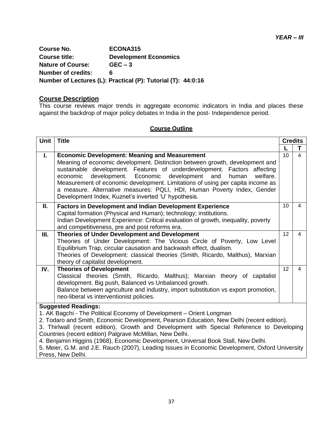**Course No. ECONA315 Course title: Development Economics Nature of Course: GEC – 3 Number of credits: 6 Number of Lectures (L): Practical (P): Tutorial (T): 44:0:16**

#### **Course Description**

This course reviews major trends in aggregate economic indicators in India and places these against the backdrop of major policy debates in India in the post- Independence period.

| Unit                                                                                                                                                                                                                                                                                                                                                                                                                                                                                                                                                                    | <b>Title</b>                                                                                                                                                                                                                                                                                                                                                                                                                                                                                                       |                 | <b>Credits</b> |  |
|-------------------------------------------------------------------------------------------------------------------------------------------------------------------------------------------------------------------------------------------------------------------------------------------------------------------------------------------------------------------------------------------------------------------------------------------------------------------------------------------------------------------------------------------------------------------------|--------------------------------------------------------------------------------------------------------------------------------------------------------------------------------------------------------------------------------------------------------------------------------------------------------------------------------------------------------------------------------------------------------------------------------------------------------------------------------------------------------------------|-----------------|----------------|--|
|                                                                                                                                                                                                                                                                                                                                                                                                                                                                                                                                                                         |                                                                                                                                                                                                                                                                                                                                                                                                                                                                                                                    |                 | т              |  |
| Ι.                                                                                                                                                                                                                                                                                                                                                                                                                                                                                                                                                                      | <b>Economic Development: Meaning and Measurement</b><br>Meaning of economic development. Distinction between growth, development and<br>sustainable development. Features of underdevelopment. Factors affecting<br>development. Economic<br>economic<br>development and<br>human<br>welfare.<br>Measurement of economic development. Limitations of using per capita income as<br>a measure. Alternative measures: PQLI, HDI, Human Poverty Index, Gender<br>Development Index, Kuznet's inverted 'U' hypothesis. | 10              | 4              |  |
| Ш.                                                                                                                                                                                                                                                                                                                                                                                                                                                                                                                                                                      | <b>Factors in Development and Indian Development Experience</b><br>Capital formation (Physical and Human); technology; institutions.<br>Indian Development Experience: Critical evaluation of growth, inequality, poverty<br>and competitiveness, pre and post reforms era.                                                                                                                                                                                                                                        | 10 <sup>1</sup> | 4              |  |
| Ш.                                                                                                                                                                                                                                                                                                                                                                                                                                                                                                                                                                      | Theories of Under Development and Development<br>Theories of Under Development: The Vicious Circle of Poverty, Low Level<br>Equilibrium Trap, circular causation and backwash effect, dualism.<br>Theories of Development: classical theories (Smith, Ricardo, Malthus), Marxian<br>theory of capitalist development.                                                                                                                                                                                              | 12              | 4              |  |
| IV.                                                                                                                                                                                                                                                                                                                                                                                                                                                                                                                                                                     | <b>Theories of Development</b><br>Classical theories (Smith, Ricardo, Malthus); Marxian theory of capitalist<br>development. Big push, Balanced vs Unbalanced growth.<br>Balance between agriculture and industry, import substitution vs export promotion,<br>neo-liberal vs interventionist policies.                                                                                                                                                                                                            | 12              | 4              |  |
| <b>Suggested Readings:</b><br>1. AK Bagchi - The Political Economy of Development - Orient Longman<br>2. Todaro and Smith, Economic Development, Pearson Education, New Delhi (recent edition).<br>3. Thirlwall (recent edition), Growth and Development with Special Reference to Developing<br>Countries (recent edition) Palgrave McMillan, New Delhi.<br>4. Benjamin Higgins (1968), Economic Development, Universal Book Stall, New Delhi.<br>5. Meier, G.M. and J.E. Rauch (2007), Leading Issues in Economic Development, Oxford University<br>Press, New Delhi. |                                                                                                                                                                                                                                                                                                                                                                                                                                                                                                                    |                 |                |  |